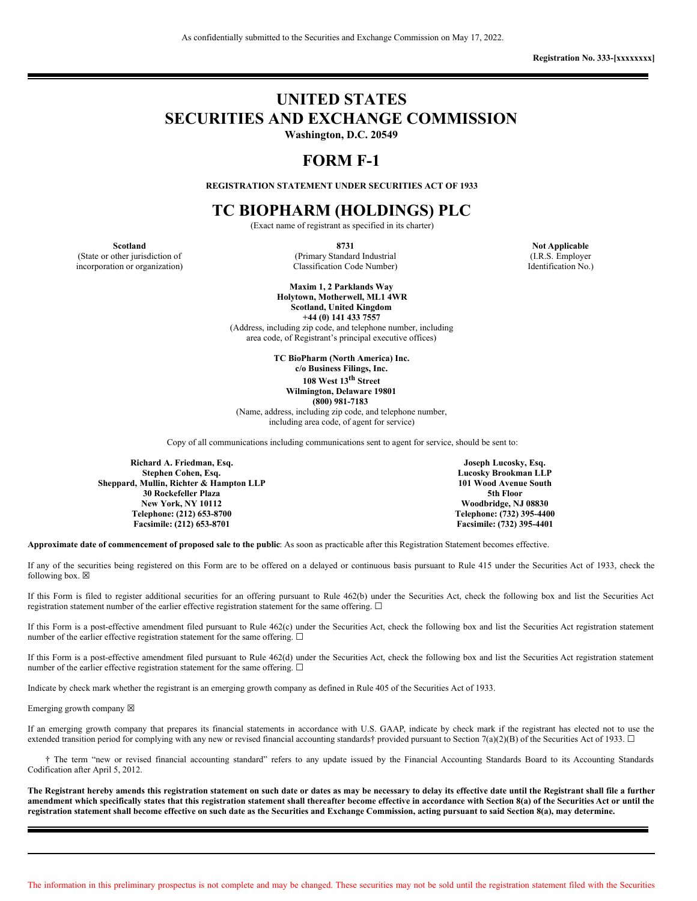# **UNITED STATES SECURITIES AND EXCHANGE COMMISSION**

**Washington, D.C. 20549**

# **FORM F-1**

**REGISTRATION STATEMENT UNDER SECURITIES ACT OF 1933**

# **TC BIOPHARM (HOLDINGS) PLC**

(Exact name of registrant as specified in its charter)

**Scotland 8731 Not Applicable** (State or other jurisdiction of (Primary Standard Industrial (I.R.S. Employer incorporation or organization) Classification Code Number) Identification No.)

**Maxim 1, 2 Parklands Way Holytown, Motherwell, ML1 4WR Scotland, United Kingdom**

**+44 (0) 141 433 7557** (Address, including zip code, and telephone number, including area code, of Registrant's principal executive offices)

**TC BioPharm (North America) Inc. c/o Business Filings, Inc. 108 West 13 th Street Wilmington, Delaware 19801 (800) 981-7183** (Name, address, including zip code, and telephone number,

including area code, of agent for service)

Copy of all communications including communications sent to agent for service, should be sent to:

**Richard A. Friedman, Esq. Stephen Cohen, Esq. Sheppard, Mullin, Richter & Hampton LLP 30 Rockefeller Plaza New York, NY 10112 Telephone: (212) 653-8700 Facsimile: (212) 653-8701**

**Joseph Lucosky, Esq. Lucosky Brookman LLP 101 Wood Avenue South 5th Floor Woodbridge, NJ 08830 Telephone: (732) 395-4400 Facsimile: (732) 395-4401**

**Approximate date of commencement of proposed sale to the public**: As soon as practicable after this Registration Statement becomes effective.

If any of the securities being registered on this Form are to be offered on a delayed or continuous basis pursuant to Rule 415 under the Securities Act of 1933, check the following box.  $\boxtimes$ 

If this Form is filed to register additional securities for an offering pursuant to Rule 462(b) under the Securities Act, check the following box and list the Securities Act registration statement number of the earlier effective registration statement for the same offering. □

If this Form is a post-effective amendment filed pursuant to Rule 462(c) under the Securities Act, check the following box and list the Securities Act registration statement number of the earlier effective registration statement for the same offering.  $\Box$ 

If this Form is a post-effective amendment filed pursuant to Rule 462(d) under the Securities Act, check the following box and list the Securities Act registration statement number of the earlier effective registration statement for the same offering.  $\Box$ 

Indicate by check mark whether the registrant is an emerging growth company as defined in Rule 405 of the Securities Act of 1933.

Emerging growth company  $\boxtimes$ 

If an emerging growth company that prepares its financial statements in accordance with U.S. GAAP, indicate by check mark if the registrant has elected not to use the extended transition period for complying with any new or revised financial accounting standards† provided pursuant to Section 7(a)(2)(B) of the Securities Act of 1933.  $\Box$ 

† The term "new or revised financial accounting standard" refers to any update issued by the Financial Accounting Standards Board to its Accounting Standards Codification after April 5, 2012.

The Registrant hereby amends this registration statement on such date or dates as may be necessary to delay its effective date until the Registrant shall file a further amendment which specifically states that this registration statement shall thereafter become effective in accordance with Section 8(a) of the Securities Act or until the registration statement shall become effective on such date as the Securities and Exchange Commission, acting pursuant to said Section 8(a), may determine.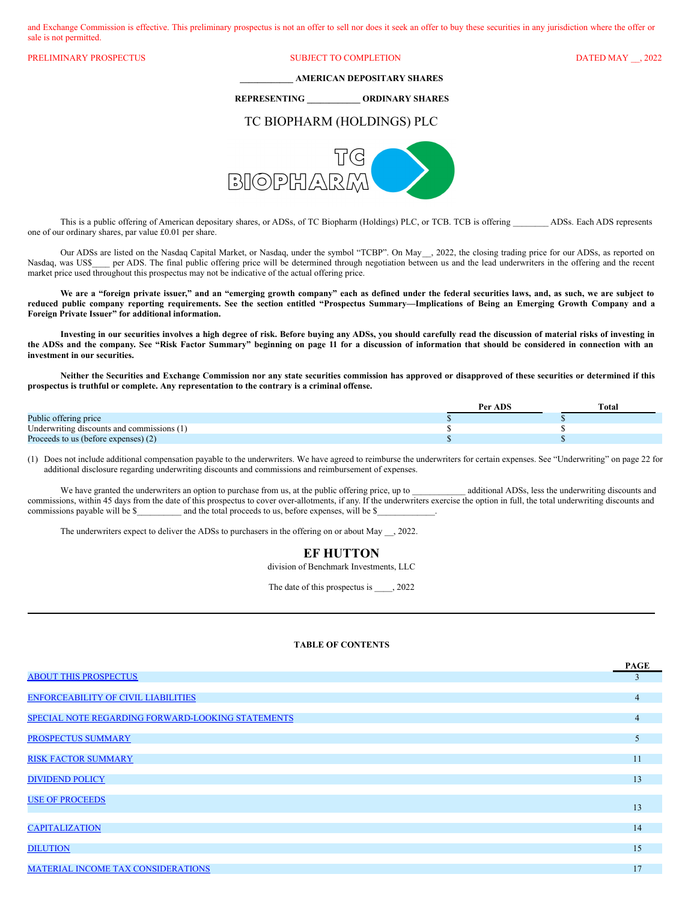and Exchange Commission is effective. This preliminary prospectus is not an offer to sell nor does it seek an offer to buy these securities in any jurisdiction where the offer or sale is not permitted.

PRELIMINARY PROSPECTUS SUBJECT TO COMPLETION DATED MAY \_\_, 2022

**\_\_\_\_\_\_\_\_\_\_\_\_ AMERICAN DEPOSITARY SHARES**

**REPRESENTING \_\_\_\_\_\_\_\_\_\_\_\_ ORDINARY SHARES**

# TC BIOPHARM (HOLDINGS) PLC



This is a public offering of American depositary shares, or ADSs, of TC Biopharm (Holdings) PLC, or TCB. TCB is offering ADSs. Each ADS represents one of our ordinary shares, par value £0.01 per share.

Our ADSs are listed on the Nasdaq Capital Market, or Nasdaq, under the symbol "TCBP". On May*\_\_*, 2022, the closing trading price for our ADSs, as reported on Nasdaq, was US\$\_\_\_\_ per ADS. The final public offering price will be determined through negotiation between us and the lead underwriters in the offering and the recent market price used throughout this prospectus may not be indicative of the actual offering price.

We are a "foreign private issuer," and an "emerging growth company" each as defined under the federal securities laws, and, as such, we are subject to reduced public company reporting requirements. See the section entitled "Prospectus Summary-Implications of Being an Emerging Growth Company and a **Foreign Private Issuer" for additional information.**

Investing in our securities involves a high degree of risk. Before buying any ADSs, you should carefully read the discussion of material risks of investing in the ADSs and the company. See "Risk Factor Summary" beginning on page 11 for a discussion of information that should be considered in connection with an **investment in our securities.**

Neither the Securities and Exchange Commission nor any state securities commission has approved or disapproved of these securities or determined if this **prospectus is truthful or complete. Any representation to the contrary is a criminal offense.**

|                                            | Per ADS | Total |
|--------------------------------------------|---------|-------|
| Public offering price                      |         |       |
| Underwriting discounts and commissions (1) |         |       |
| Proceeds to us (before expenses) (2)       |         |       |

(1) Does not include additional compensation payable to the underwriters. We have agreed to reimburse the underwriters for certain expenses. See "Underwriting" on page 22 for additional disclosure regarding underwriting discounts and commissions and reimbursement of expenses.

We have granted the underwriters an option to purchase from us, at the public offering price, up to additional ADSs, less the underwriting discounts and commissions, within 45 days from the date of this prospectus to cover over-allotments, if any. If the underwriters exercise the option in full, the total underwriting discounts and commissions payable will be \$\_\_\_\_\_\_\_\_ and the total proceeds to us, before expenses, will be \$

The underwriters expect to deliver the ADSs to purchasers in the offering on or about May \_\_, 2022.

# **EF HUTTON**

division of Benchmark Investments, LLC

The date of this prospectus is \_\_\_\_, 2022

# **TABLE OF CONTENTS**

|                                                   | <b>PAGE</b>    |
|---------------------------------------------------|----------------|
| <b>ABOUT THIS PROSPECTUS</b>                      | 3              |
|                                                   |                |
| <b>ENFORCEABILITY OF CIVIL LIABILITIES</b>        | $\overline{4}$ |
| SPECIAL NOTE REGARDING FORWARD-LOOKING STATEMENTS | $\overline{4}$ |
|                                                   |                |
| PROSPECTUS SUMMARY                                | 5              |
|                                                   |                |
| <b>RISK FACTOR SUMMARY</b>                        | 11             |
|                                                   |                |
| <b>DIVIDEND POLICY</b>                            | 13             |
| <b>USE OF PROCEEDS</b>                            |                |
|                                                   | 13             |
|                                                   |                |
| <b>CAPITALIZATION</b>                             | 14             |
|                                                   |                |
| <b>DILUTION</b>                                   | 15             |
| MATERIAL INCOME TAX CONSIDERATIONS                | 17             |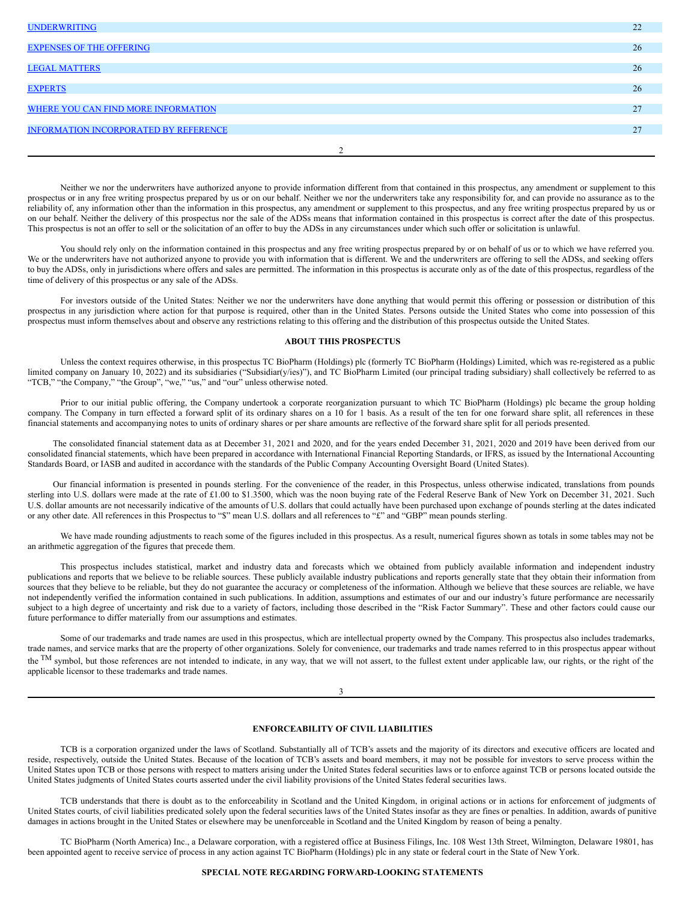| 22 |
|----|
| 26 |
| 26 |
|    |
| 26 |
| 27 |
| 27 |
|    |
|    |

Neither we nor the underwriters have authorized anyone to provide information different from that contained in this prospectus, any amendment or supplement to this prospectus or in any free writing prospectus prepared by us or on our behalf. Neither we nor the underwriters take any responsibility for, and can provide no assurance as to the reliability of, any information other than the information in this prospectus, any amendment or supplement to this prospectus, and any free writing prospectus prepared by us or on our behalf. Neither the delivery of this prospectus nor the sale of the ADSs means that information contained in this prospectus is correct after the date of this prospectus. This prospectus is not an offer to sell or the solicitation of an offer to buy the ADSs in any circumstances under which such offer or solicitation is unlawful.

You should rely only on the information contained in this prospectus and any free writing prospectus prepared by or on behalf of us or to which we have referred you. We or the underwriters have not authorized anyone to provide you with information that is different. We and the underwriters are offering to sell the ADSs, and seeking offers to buy the ADSs, only in jurisdictions where offers and sales are permitted. The information in this prospectus is accurate only as of the date of this prospectus, regardless of the time of delivery of this prospectus or any sale of the ADSs.

For investors outside of the United States: Neither we nor the underwriters have done anything that would permit this offering or possession or distribution of this prospectus in any jurisdiction where action for that purpose is required, other than in the United States. Persons outside the United States who come into possession of this prospectus must inform themselves about and observe any restrictions relating to this offering and the distribution of this prospectus outside the United States.

# <span id="page-2-0"></span>**ABOUT THIS PROSPECTUS**

Unless the context requires otherwise, in this prospectus TC BioPharm (Holdings) plc (formerly TC BioPharm (Holdings) Limited, which was re-registered as a public limited company on January 10, 2022) and its subsidiaries ("Subsidiar(y/ies)"), and TC BioPharm Limited (our principal trading subsidiary) shall collectively be referred to as "TCB," "the Company," "the Group", "we," "us," and "our" unless otherwise noted.

Prior to our initial public offering, the Company undertook a corporate reorganization pursuant to which TC BioPharm (Holdings) plc became the group holding company. The Company in turn effected a forward split of its ordinary shares on a 10 for 1 basis. As a result of the ten for one forward share split, all references in these financial statements and accompanying notes to units of ordinary shares or per share amounts are reflective of the forward share split for all periods presented.

The consolidated financial statement data as at December 31, 2021 and 2020, and for the years ended December 31, 2021, 2020 and 2019 have been derived from our consolidated financial statements, which have been prepared in accordance with International Financial Reporting Standards, or IFRS, as issued by the International Accounting Standards Board, or IASB and audited in accordance with the standards of the Public Company Accounting Oversight Board (United States).

Our financial information is presented in pounds sterling. For the convenience of the reader, in this Prospectus, unless otherwise indicated, translations from pounds sterling into U.S. dollars were made at the rate of £1.00 to \$1.3500, which was the noon buying rate of the Federal Reserve Bank of New York on December 31, 2021. Such U.S. dollar amounts are not necessarily indicative of the amounts of U.S. dollars that could actually have been purchased upon exchange of pounds sterling at the dates indicated or any other date. All references in this Prospectus to "\$" mean U.S. dollars and all references to "£" and "GBP" mean pounds sterling.

We have made rounding adjustments to reach some of the figures included in this prospectus. As a result, numerical figures shown as totals in some tables may not be an arithmetic aggregation of the figures that precede them.

This prospectus includes statistical, market and industry data and forecasts which we obtained from publicly available information and independent industry publications and reports that we believe to be reliable sources. These publicly available industry publications and reports generally state that they obtain their information from sources that they believe to be reliable, but they do not guarantee the accuracy or completeness of the information. Although we believe that these sources are reliable, we have not independently verified the information contained in such publications. In addition, assumptions and estimates of our and our industry's future performance are necessarily subject to a high degree of uncertainty and risk due to a variety of factors, including those described in the "Risk Factor Summary". These and other factors could cause our future performance to differ materially from our assumptions and estimates.

Some of our trademarks and trade names are used in this prospectus, which are intellectual property owned by the Company. This prospectus also includes trademarks, trade names, and service marks that are the property of other organizations. Solely for convenience, our trademarks and trade names referred to in this prospectus appear without the <sup>TM</sup> symbol, but those references are not intended to indicate, in any way, that we will not assert, to the fullest extent under applicable law, our rights, or the right of the applicable licensor to these trademarks and trade names.

#### 3

# <span id="page-2-1"></span>**ENFORCEABILITY OF CIVIL LIABILITIES**

TCB is a corporation organized under the laws of Scotland. Substantially all of TCB's assets and the majority of its directors and executive officers are located and reside, respectively, outside the United States. Because of the location of TCB's assets and board members, it may not be possible for investors to serve process within the United States upon TCB or those persons with respect to matters arising under the United States federal securities laws or to enforce against TCB or persons located outside the United States judgments of United States courts asserted under the civil liability provisions of the United States federal securities laws.

TCB understands that there is doubt as to the enforceability in Scotland and the United Kingdom, in original actions or in actions for enforcement of judgments of United States courts, of civil liabilities predicated solely upon the federal securities laws of the United States insofar as they are fines or penalties. In addition, awards of punitive damages in actions brought in the United States or elsewhere may be unenforceable in Scotland and the United Kingdom by reason of being a penalty.

TC BioPharm (North America) Inc., a Delaware corporation, with a registered office at Business Filings, Inc. 108 West 13th Street, Wilmington, Delaware 19801, has been appointed agent to receive service of process in any action against TC BioPharm (Holdings) plc in any state or federal court in the State of New York.

# <span id="page-2-2"></span>**SPECIAL NOTE REGARDING FORWARD-LOOKING STATEMENTS**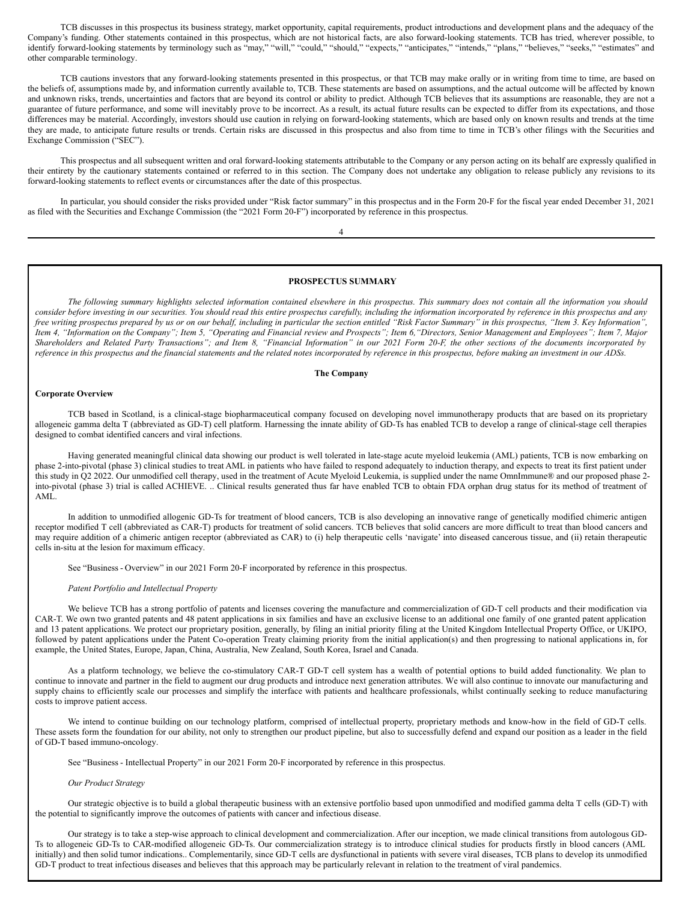TCB discusses in this prospectus its business strategy, market opportunity, capital requirements, product introductions and development plans and the adequacy of the Company's funding. Other statements contained in this prospectus, which are not historical facts, are also forward-looking statements. TCB has tried, wherever possible, to identify forward-looking statements by terminology such as "may," "will," "could," "should," "expects," "anticipates," "intends," "plans," "believes," "seeks," "estimates" and other comparable terminology.

TCB cautions investors that any forward-looking statements presented in this prospectus, or that TCB may make orally or in writing from time to time, are based on the beliefs of, assumptions made by, and information currently available to, TCB. These statements are based on assumptions, and the actual outcome will be affected by known and unknown risks, trends, uncertainties and factors that are beyond its control or ability to predict. Although TCB believes that its assumptions are reasonable, they are not a guarantee of future performance, and some will inevitably prove to be incorrect. As a result, its actual future results can be expected to differ from its expectations, and those differences may be material. Accordingly, investors should use caution in relying on forward-looking statements, which are based only on known results and trends at the time they are made, to anticipate future results or trends. Certain risks are discussed in this prospectus and also from time to time in TCB's other filings with the Securities and Exchange Commission ("SEC").

This prospectus and all subsequent written and oral forward-looking statements attributable to the Company or any person acting on its behalf are expressly qualified in their entirety by the cautionary statements contained or referred to in this section. The Company does not undertake any obligation to release publicly any revisions to its forward-looking statements to reflect events or circumstances after the date of this prospectus.

In particular, you should consider the risks provided under "Risk factor summary" in this prospectus and in the Form 20-F for the fiscal year ended December 31, 2021 as filed with the Securities and Exchange Commission (the "2021 Form 20-F") incorporated by reference in this prospectus.

4

# <span id="page-3-0"></span>**PROSPECTUS SUMMARY**

The following summary highlights selected information contained elsewhere in this prospectus. This summary does not contain all the information you should consider before investing in our securities. You should read this entire prospectus carefully, including the information incorporated by reference in this prospectus and any free writing prospectus prepared by us or on our behalf, including in particular the section entitled "Risk Factor Summary" in this prospectus, "Item 3. Key Information", Item 4, "Information on the Company"; Item 5, "Operating and Financial review and Prospects"; Item 6, "Directors, Senior Management and Employees"; Item 7, Major Shareholders and Related Party Transactions"; and Item 8, "Financial Information" in our 2021 Form 20-F, the other sections of the documents incorporated by reference in this prospectus and the financial statements and the related notes incorporated by reference in this prospectus, before making an investment in our ADSs.

# **The Company**

# **Corporate Overview**

TCB based in Scotland, is a clinical-stage biopharmaceutical company focused on developing novel immunotherapy products that are based on its proprietary allogeneic gamma delta T (abbreviated as GD-T) cell platform. Harnessing the innate ability of GD-Ts has enabled TCB to develop a range of clinical-stage cell therapies designed to combat identified cancers and viral infections.

Having generated meaningful clinical data showing our product is well tolerated in late-stage acute myeloid leukemia (AML) patients, TCB is now embarking on phase 2-into-pivotal (phase 3) clinical studies to treat AML in patients who have failed to respond adequately to induction therapy, and expects to treat its first patient under this study in Q2 2022. Our unmodified cell therapy, used in the treatment of Acute Myeloid Leukemia, is supplied under the name OmnImmune® and our proposed phase 2 into-pivotal (phase 3) trial is called ACHIEVE. .. Clinical results generated thus far have enabled TCB to obtain FDA orphan drug status for its method of treatment of AML.

In addition to unmodified allogenic GD-Ts for treatment of blood cancers, TCB is also developing an innovative range of genetically modified chimeric antigen receptor modified T cell (abbreviated as CAR-T) products for treatment of solid cancers. TCB believes that solid cancers are more difficult to treat than blood cancers and may require addition of a chimeric antigen receptor (abbreviated as CAR) to (i) help therapeutic cells 'navigate' into diseased cancerous tissue, and (ii) retain therapeutic cells in-situ at the lesion for maximum efficacy.

See "Business - Overview" in our 2021 Form 20-F incorporated by reference in this prospectus.

# *Patent Portfolio and Intellectual Property*

We believe TCB has a strong portfolio of patents and licenses covering the manufacture and commercialization of GD-T cell products and their modification via CAR-T. We own two granted patents and 48 patent applications in six families and have an exclusive license to an additional one family of one granted patent application and 13 patent applications. We protect our proprietary position, generally, by filing an initial priority filing at the United Kingdom Intellectual Property Office, or UKIPO, followed by patent applications under the Patent Co-operation Treaty claiming priority from the initial application(s) and then progressing to national applications in, for example, the United States, Europe, Japan, China, Australia, New Zealand, South Korea, Israel and Canada.

As a platform technology, we believe the co-stimulatory CAR-T GD-T cell system has a wealth of potential options to build added functionality. We plan to continue to innovate and partner in the field to augment our drug products and introduce next generation attributes. We will also continue to innovate our manufacturing and supply chains to efficiently scale our processes and simplify the interface with patients and healthcare professionals, whilst continually seeking to reduce manufacturing costs to improve patient access.

We intend to continue building on our technology platform, comprised of intellectual property, proprietary methods and know-how in the field of GD-T cells. These assets form the foundation for our ability, not only to strengthen our product pipeline, but also to successfully defend and expand our position as a leader in the field of GD-T based immuno-oncology.

See "Business - Intellectual Property" in our 2021 Form 20-F incorporated by reference in this prospectus.

#### *Our Product Strategy*

Our strategic objective is to build a global therapeutic business with an extensive portfolio based upon unmodified and modified gamma delta T cells (GD-T) with the potential to significantly improve the outcomes of patients with cancer and infectious disease.

Our strategy is to take a step-wise approach to clinical development and commercialization. After our inception, we made clinical transitions from autologous GD-Ts to allogeneic GD-Ts to CAR-modified allogeneic GD-Ts. Our commercialization strategy is to introduce clinical studies for products firstly in blood cancers (AML initially) and then solid tumor indications.. Complementarily, since GD-T cells are dysfunctional in patients with severe viral diseases, TCB plans to develop its unmodified GD-T product to treat infectious diseases and believes that this approach may be particularly relevant in relation to the treatment of viral pandemics.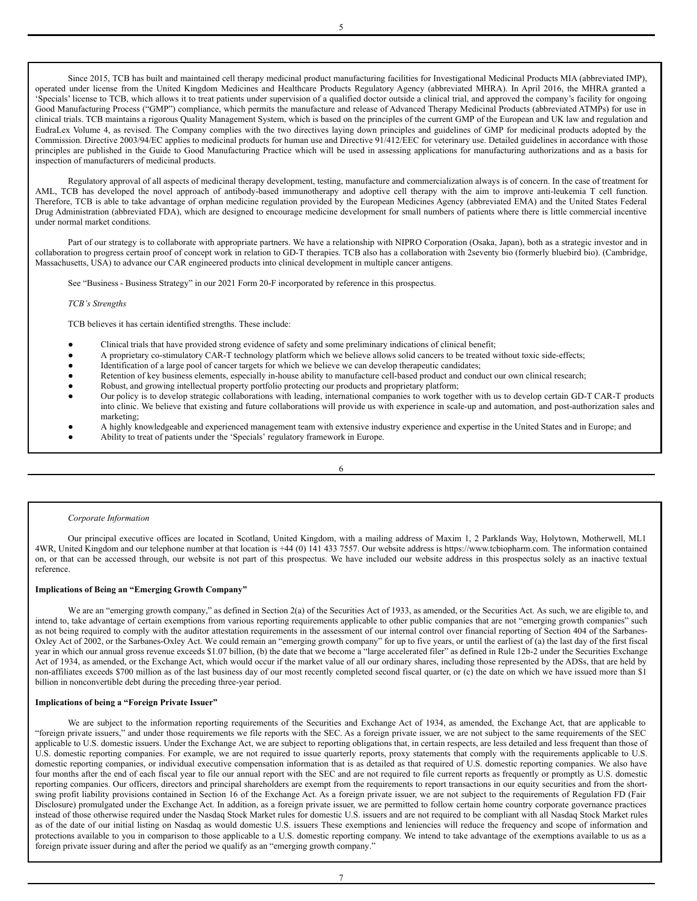Since 2015, TCB has built and maintained cell therapy medicinal product manufacturing facilities for Investigational Medicinal Products MIA (abbreviated IMP), operated under license from the United Kingdom Medicines and Healthcare Products Regulatory Agency (abbreviated MHRA). In April 2016, the MHRA granted a 'Specials' license to TCB, which allows it to treat patients under supervision of a qualified doctor outside a clinical trial, and approved the company's facility for ongoing Good Manufacturing Process ("GMP") compliance, which permits the manufacture and release of Advanced Therapy Medicinal Products (abbreviated ATMPs) for use in clinical trials. TCB maintains a rigorous Quality Management System, which is based on the principles of the current GMP of the European and UK law and regulation and EudraLex Volume 4, as revised. The Company complies with the two directives laying down principles and guidelines of GMP for medicinal products adopted by the Commission. Directive 2003/94/EC applies to medicinal products for human use and Directive 91/412/EEC for veterinary use. Detailed guidelines in accordance with those principles are published in the Guide to Good Manufacturing Practice which will be used in assessing applications for manufacturing authorizations and as a basis for inspection of manufacturers of medicinal products.

Regulatory approval of all aspects of medicinal therapy development, testing, manufacture and commercialization always is of concern. In the case of treatment for AML, TCB has developed the novel approach of antibody-based immunotherapy and adoptive cell therapy with the aim to improve anti-leukemia T cell function. Therefore, TCB is able to take advantage of orphan medicine regulation provided by the European Medicines Agency (abbreviated EMA) and the United States Federal Drug Administration (abbreviated FDA), which are designed to encourage medicine development for small numbers of patients where there is little commercial incentive under normal market conditions.

Part of our strategy is to collaborate with appropriate partners. We have a relationship with NIPRO Corporation (Osaka, Japan), both as a strategic investor and in collaboration to progress certain proof of concept work in relation to GD-T therapies. TCB also has a collaboration with 2seventy bio (formerly bluebird bio). (Cambridge, Massachusetts, USA) to advance our CAR engineered products into clinical development in multiple cancer antigens.

See "Business - Business Strategy" in our 2021 Form 20-F incorporated by reference in this prospectus.

# *TCB's Strengths*

TCB believes it has certain identified strengths. These include:

- Clinical trials that have provided strong evidence of safety and some preliminary indications of clinical benefit;
- A proprietary co-stimulatory CAR-T technology platform which we believe allows solid cancers to be treated without toxic side-effects;
- Identification of a large pool of cancer targets for which we believe we can develop therapeutic candidates;
- Retention of key business elements, especially in-house ability to manufacture cell-based product and conduct our own clinical research;
- Robust, and growing intellectual property portfolio protecting our products and proprietary platform;
- Our policy is to develop strategic collaborations with leading, international companies to work together with us to develop certain GD-T CAR-T products into clinic. We believe that existing and future collaborations will provide us with experience in scale-up and automation, and post-authorization sales and marketing;
- A highly knowledgeable and experienced management team with extensive industry experience and expertise in the United States and in Europe; and

6

Ability to treat of patients under the 'Specials' regulatory framework in Europe.

#### *Corporate Information*

Our principal executive offices are located in Scotland, United Kingdom, with a mailing address of Maxim 1, 2 Parklands Way, Holytown, Motherwell, ML1 4WR, United Kingdom and our telephone number at that location is +44 (0) 141 433 7557. Our website address is https://www.tcbiopharm.com. The information contained on, or that can be accessed through, our website is not part of this prospectus. We have included our website address in this prospectus solely as an inactive textual reference.

# **Implications of Being an "Emerging Growth Company"**

We are an "emerging growth company," as defined in Section 2(a) of the Securities Act of 1933, as amended, or the Securities Act. As such, we are eligible to, and intend to, take advantage of certain exemptions from various reporting requirements applicable to other public companies that are not "emerging growth companies" such as not being required to comply with the auditor attestation requirements in the assessment of our internal control over financial reporting of Section 404 of the Sarbanes-Oxley Act of 2002, or the Sarbanes-Oxley Act. We could remain an "emerging growth company" for up to five years, or until the earliest of (a) the last day of the first fiscal year in which our annual gross revenue exceeds \$1.07 billion, (b) the date that we become a "large accelerated filer" as defined in Rule 12b-2 under the Securities Exchange Act of 1934, as amended, or the Exchange Act, which would occur if the market value of all our ordinary shares, including those represented by the ADSs, that are held by non-affiliates exceeds \$700 million as of the last business day of our most recently completed second fiscal quarter, or (c) the date on which we have issued more than \$1 billion in nonconvertible debt during the preceding three-year period.

# **Implications of being a "Foreign Private Issuer"**

We are subject to the information reporting requirements of the Securities and Exchange Act of 1934, as amended, the Exchange Act, that are applicable to "foreign private issuers," and under those requirements we file reports with the SEC. As a foreign private issuer, we are not subject to the same requirements of the SEC applicable to U.S. domestic issuers. Under the Exchange Act, we are subject to reporting obligations that, in certain respects, are less detailed and less frequent than those of U.S. domestic reporting companies. For example, we are not required to issue quarterly reports, proxy statements that comply with the requirements applicable to U.S. domestic reporting companies, or individual executive compensation information that is as detailed as that required of U.S. domestic reporting companies. We also have four months after the end of each fiscal year to file our annual report with the SEC and are not required to file current reports as frequently or promptly as U.S. domestic reporting companies. Our officers, directors and principal shareholders are exempt from the requirements to report transactions in our equity securities and from the shortswing profit liability provisions contained in Section 16 of the Exchange Act. As a foreign private issuer, we are not subject to the requirements of Regulation FD (Fair Disclosure) promulgated under the Exchange Act. In addition, as a foreign private issuer, we are permitted to follow certain home country corporate governance practices instead of those otherwise required under the Nasdaq Stock Market rules for domestic U.S. issuers and are not required to be compliant with all Nasdaq Stock Market rules as of the date of our initial listing on Nasdaq as would domestic U.S. issuers These exemptions and leniencies will reduce the frequency and scope of information and protections available to you in comparison to those applicable to a U.S. domestic reporting company. We intend to take advantage of the exemptions available to us as a foreign private issuer during and after the period we qualify as an "emerging growth company."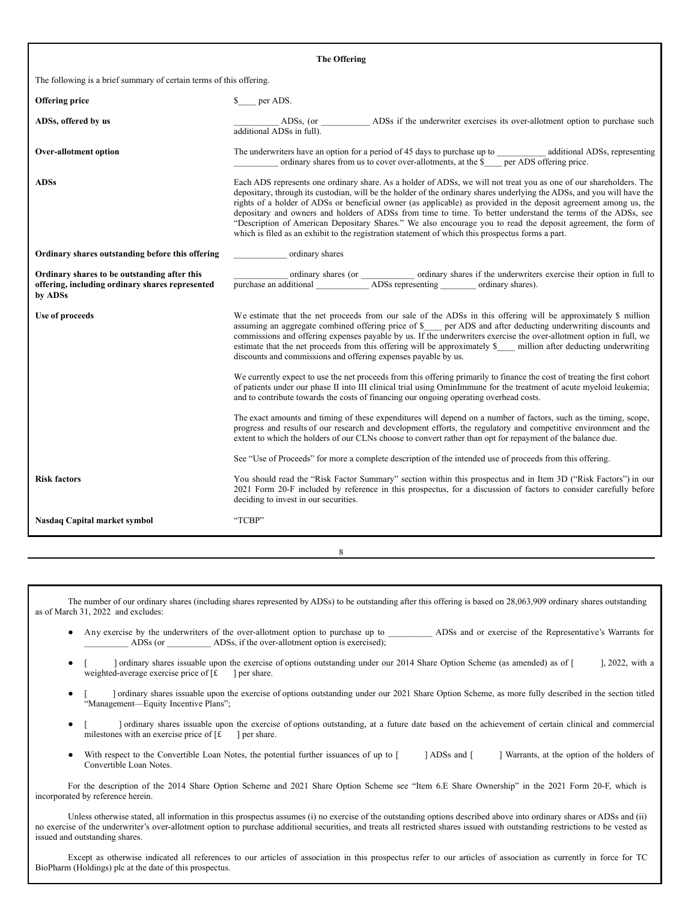# **The Offering** The following is a brief summary of certain terms of this offering. **Offering price**  $\qquad \qquad$  **s** per ADS. **ADSs, offered by us ADSs**, (or **and ADSs** if the underwriter exercises its over-allotment option to purchase such additional ADSs in full). **Over-allotment option** The underwriters have an option for a period of 45 days to purchase up to \_\_\_\_\_\_\_\_\_\_ additional ADSs, representing ordinary shares from us to cover over-allotments, at the \$\_\_\_ per ADS offering price. **ADSs** Each ADS represents one ordinary share. As a holder of ADSs, we will not treat you as one of our shareholders. The depositary, through its custodian, will be the holder of the ordinary shares underlying the ADSs, and you will have the rights of a holder of ADSs or beneficial owner (as applicable) as provided in the deposit agreement among us, the depositary and owners and holders of ADSs from time to time. To better understand the terms of the ADSs, see "Description of American Depositary Shares." We also encourage you to read the deposit agreement, the form of which is filed as an exhibit to the registration statement of which this prospectus forms a part. **Ordinary shares outstanding before this offering** \_\_\_\_\_\_\_\_\_\_\_\_ ordinary shares **Ordinary shares to be outstanding after this offering, including ordinary shares represented by ADSs** \_\_\_\_\_\_\_\_\_\_\_\_ ordinary shares (or \_\_\_\_\_\_\_\_\_\_\_\_ ordinary shares if the underwriters exercise their option in full to purchase an additional \_\_\_\_\_\_\_\_\_\_\_\_\_\_ ADSs representing \_\_\_\_\_\_\_\_\_ ordinary shares). Use of **proceeds** We estimate that the net proceeds from our sale of the ADSs in this offering will be approximately \$ million assuming an aggregate combined offering price of \$\_\_\_\_ per ADS and after deducting underwriting discounts and commissions and offering expenses payable by us. If the underwriters exercise the over-allotment option in full, we estimate that the net proceeds from this offering will be approximately \$\_\_\_\_ million after deducting underwriting discounts and commissions and offering expenses payable by us. We currently expect to use the net proceeds from this offering primarily to finance the cost of treating the first cohort of patients under our phase II into III clinical trial using OminImmune for the treatment of acute myeloid leukemia; and to contribute towards the costs of financing our ongoing operating overhead costs. The exact amounts and timing of these expenditures will depend on a number of factors, such as the timing, scope, progress and results of our research and development efforts, the regulatory and competitive environment and the extent to which the holders of our CLNs choose to convert rather than opt for repayment of the balance due. See "Use of Proceeds" for more a complete description of the intended use of proceeds from this offering. **Risk factors** You should read the "Risk Factor Summary" section within this prospectus and in Item 3D ("Risk Factors") in our 2021 Form 20-F included by reference in this prospectus, for a discussion of factors to consider carefully before deciding to invest in our securities. **Nasdaq Capital market symbol** "TCBP"

The number of our ordinary shares (including shares represented by ADSs) to be outstanding after this offering is based on 28,063,909 ordinary shares outstanding as of March 31, 2022 and excludes:

8

- Any exercise by the underwriters of the over-allotment option to purchase up to \_\_\_\_\_\_\_\_\_\_\_ ADSs and or exercise of the Representative's Warrants for ADSs (or  $\Delta$ DSs, if the over-allotment option is exercised);
- [ ] ordinary shares issuable upon the exercise of options outstanding under our 2014 Share Option Scheme (as amended) as of [ ], 2022, with a weighted-average exercise price of  $[f \quad]$  per share.
- [ ] ordinary shares issuable upon the exercise of options outstanding under our 2021 Share Option Scheme, as more fully described in the section titled "Management—Equity Incentive Plans";
- [ ] ordinary shares issuable upon the exercise of options outstanding, at a future date based on the achievement of certain clinical and commercial milestones with an exercise price of  $[f \quad]$  per share.
- With respect to the Convertible Loan Notes, the potential further issuances of up to [ ] ADSs and [ ] Warrants, at the option of the holders of Convertible Loan Notes.

For the description of the 2014 Share Option Scheme and 2021 Share Option Scheme see "Item 6.E Share Ownership" in the 2021 Form 20-F, which is incorporated by reference herein.

Unless otherwise stated, all information in this prospectus assumes (i) no exercise of the outstanding options described above into ordinary shares or ADSs and (ii) no exercise of the underwriter's over-allotment option to purchase additional securities, and treats all restricted shares issued with outstanding restrictions to be vested as issued and outstanding shares.

Except as otherwise indicated all references to our articles of association in this prospectus refer to our articles of association as currently in force for TC BioPharm (Holdings) plc at the date of this prospectus.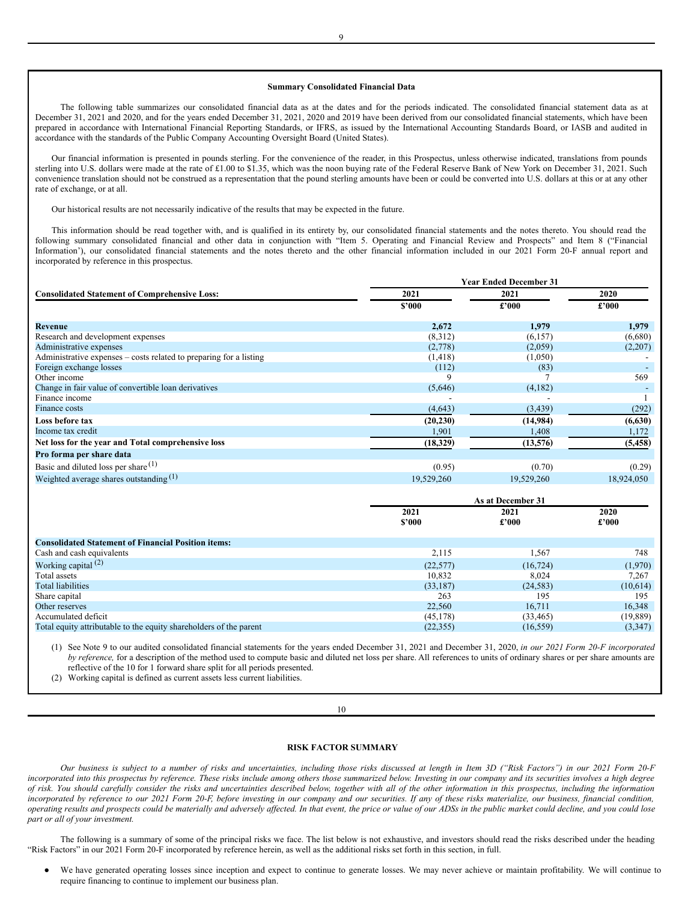# **Summary Consolidated Financial Data**

The following table summarizes our consolidated financial data as at the dates and for the periods indicated. The consolidated financial statement data as at December 31, 2021 and 2020, and for the years ended December 31, 2021, 2020 and 2019 have been derived from our consolidated financial statements, which have been prepared in accordance with International Financial Reporting Standards, or IFRS, as issued by the International Accounting Standards Board, or IASB and audited in accordance with the standards of the Public Company Accounting Oversight Board (United States).

Our financial information is presented in pounds sterling. For the convenience of the reader, in this Prospectus, unless otherwise indicated, translations from pounds sterling into U.S. dollars were made at the rate of £1.00 to \$1.35, which was the noon buying rate of the Federal Reserve Bank of New York on December 31, 2021. Such convenience translation should not be construed as a representation that the pound sterling amounts have been or could be converted into U.S. dollars at this or at any other rate of exchange, or at all.

Our historical results are not necessarily indicative of the results that may be expected in the future.

This information should be read together with, and is qualified in its entirety by, our consolidated financial statements and the notes thereto. You should read the following summary consolidated financial and other data in conjunction with "Item 5. Operating and Financial Review and Prospects" and Item 8 ("Financial Information'), our consolidated financial statements and the notes thereto and the other financial information included in our 2021 Form 20-F annual report and incorporated by reference in this prospectus.

|                                                                    | <b>Year Ended December 31</b> |            |            |  |
|--------------------------------------------------------------------|-------------------------------|------------|------------|--|
| <b>Consolidated Statement of Comprehensive Loss:</b>               | 2021                          | 2021       | 2020       |  |
|                                                                    | \$'000                        | £2000      | £'000      |  |
| Revenue                                                            | 2,672                         | 1,979      | 1,979      |  |
| Research and development expenses                                  | (8,312)                       | (6, 157)   | (6,680)    |  |
| Administrative expenses                                            | (2,778)                       | (2,059)    | (2,207)    |  |
| Administrative expenses – costs related to preparing for a listing | (1, 418)                      | (1,050)    |            |  |
| Foreign exchange losses                                            | (112)                         | (83)       |            |  |
| Other income                                                       | 9                             |            | 569        |  |
| Change in fair value of convertible loan derivatives               | (5,646)                       | (4,182)    |            |  |
| Finance income                                                     |                               |            |            |  |
| Finance costs                                                      | (4,643)                       | (3, 439)   | (292)      |  |
| Loss before tax                                                    | (20, 230)                     | (14,984)   | (6,630)    |  |
| Income tax credit                                                  | 1,901                         | 1,408      | 1,172      |  |
| Net loss for the year and Total comprehensive loss                 | (18,329)                      | (13,576)   | (5, 458)   |  |
| Pro forma per share data                                           |                               |            |            |  |
| Basic and diluted loss per share <sup>(1)</sup>                    | (0.95)                        | (0.70)     | (0.29)     |  |
| Weighted average shares outstanding $(1)$                          | 19,529,260                    | 19,529,260 | 18,924,050 |  |

|                                                                    | As at December 31 |                |           |
|--------------------------------------------------------------------|-------------------|----------------|-----------|
|                                                                    | 2021              | 2021           | 2020      |
|                                                                    | \$2000            | $\pounds$ '000 | £'000     |
| <b>Consolidated Statement of Financial Position items:</b>         |                   |                |           |
| Cash and cash equivalents                                          | 2,115             | 1,567          | 748       |
|                                                                    |                   |                |           |
| Working capital $(2)$                                              | (22, 577)         | (16, 724)      | (1,970)   |
| Total assets                                                       | 10.832            | 8.024          | 7,267     |
| Total liabilities                                                  | (33,187)          | (24, 583)      | (10,614)  |
| Share capital                                                      | 263               | 195            | 195       |
| Other reserves                                                     | 22,560            | 16.711         | 16,348    |
| Accumulated deficit                                                | (45, 178)         | (33, 465)      | (19, 889) |
| Total equity attributable to the equity shareholders of the parent | (22, 355)         | (16, 559)      | (3,347)   |

(1) See Note 9 to our audited consolidated financial statements for the years ended December 31, 2021 and December 31, 2020, *in our 2021 Form 20-F incorporated by reference,* for a description of the method used to compute basic and diluted net loss per share. All references to units of ordinary shares or per share amounts are reflective of the 10 for 1 forward share split for all periods presented.

(2) Working capital is defined as current assets less current liabilities.

#### 10

## <span id="page-6-0"></span>**RISK FACTOR SUMMARY**

Our business is subject to a number of risks and uncertainties, including those risks discussed at length in Item 3D ("Risk Factors") in our 2021 Form 20-F incorporated into this prospectus by reference. These risks include among others those summarized below. Investing in our company and its securities involves a high degree of risk. You should carefully consider the risks and uncertainties described below, together with all of the other information in this prospectus, including the information incorporated by reference to our 2021 Form 20-F, before investing in our company and our securities. If any of these risks materialize, our business, financial condition, operating results and prospects could be materially and adversely affected. In that event, the price or value of our ADSs in the public market could decline, and you could lose *part or all of your investment.*

The following is a summary of some of the principal risks we face. The list below is not exhaustive, and investors should read the risks described under the heading "Risk Factors" in our 2021 Form 20-F incorporated by reference herein, as well as the additional risks set forth in this section, in full.

We have generated operating losses since inception and expect to continue to generate losses. We may never achieve or maintain profitability. We will continue to require financing to continue to implement our business plan.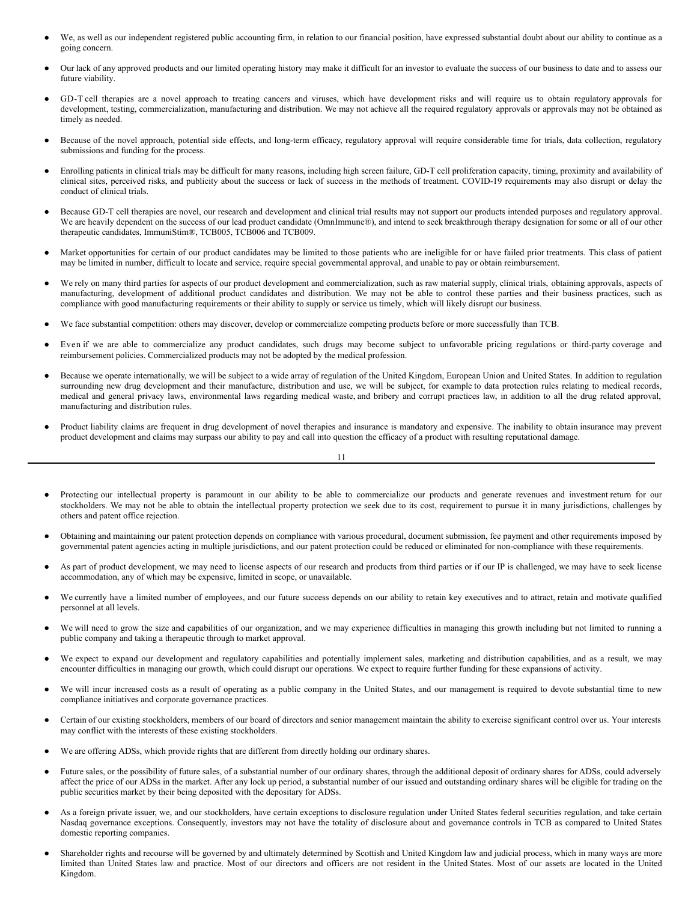- We, as well as our independent registered public accounting firm, in relation to our financial position, have expressed substantial doubt about our ability to continue as a going concern.
- Our lack of any approved products and our limited operating history may make it difficult for an investor to evaluate the success of our business to date and to assess our future viability.
- GD-T cell therapies are a novel approach to treating cancers and viruses, which have development risks and will require us to obtain regulatory approvals for development, testing, commercialization, manufacturing and distribution. We may not achieve all the required regulatory approvals or approvals may not be obtained as timely as needed.
- Because of the novel approach, potential side effects, and long-term efficacy, regulatory approval will require considerable time for trials, data collection, regulatory submissions and funding for the process.
- Enrolling patients in clinical trials may be difficult for many reasons, including high screen failure, GD-T cell proliferation capacity, timing, proximity and availability of clinical sites, perceived risks, and publicity about the success or lack of success in the methods of treatment. COVID-19 requirements may also disrupt or delay the conduct of clinical trials.
- Because GD-T cell therapies are novel, our research and development and clinical trial results may not support our products intended purposes and regulatory approval. We are heavily dependent on the success of our lead product candidate (OmnImmune®), and intend to seek breakthrough therapy designation for some or all of our other therapeutic candidates, ImmuniStim®, TCB005, TCB006 and TCB009.
- Market opportunities for certain of our product candidates may be limited to those patients who are ineligible for or have failed prior treatments. This class of patient may be limited in number, difficult to locate and service, require special governmental approval, and unable to pay or obtain reimbursement.
- We rely on many third parties for aspects of our product development and commercialization, such as raw material supply, clinical trials, obtaining approvals, aspects of manufacturing, development of additional product candidates and distribution. We may not be able to control these parties and their business practices, such as compliance with good manufacturing requirements or their ability to supply or service us timely, which will likely disrupt our business.
- We face substantial competition: others may discover, develop or commercialize competing products before or more successfully than TCB.
- Even if we are able to commercialize any product candidates, such drugs may become subject to unfavorable pricing regulations or third-party coverage and reimbursement policies. Commercialized products may not be adopted by the medical profession.
- Because we operate internationally, we will be subject to a wide array of regulation of the United Kingdom, European Union and United States. In addition to regulation surrounding new drug development and their manufacture, distribution and use, we will be subject, for example to data protection rules relating to medical records, medical and general privacy laws, environmental laws regarding medical waste, and bribery and corrupt practices law, in addition to all the drug related approval, manufacturing and distribution rules.
- Product liability claims are frequent in drug development of novel therapies and insurance is mandatory and expensive. The inability to obtain insurance may prevent product development and claims may surpass our ability to pay and call into question the efficacy of a product with resulting reputational damage.

# 11

- Protecting our intellectual property is paramount in our ability to be able to commercialize our products and generate revenues and investment return for our stockholders. We may not be able to obtain the intellectual property protection we seek due to its cost, requirement to pursue it in many jurisdictions, challenges by others and patent office rejection.
- Obtaining and maintaining our patent protection depends on compliance with various procedural, document submission, fee payment and other requirements imposed by governmental patent agencies acting in multiple jurisdictions, and our patent protection could be reduced or eliminated for non-compliance with these requirements.
- As part of product development, we may need to license aspects of our research and products from third parties or if our IP is challenged, we may have to seek license accommodation, any of which may be expensive, limited in scope, or unavailable.
- We currently have a limited number of employees, and our future success depends on our ability to retain key executives and to attract, retain and motivate qualified personnel at all levels.
- We will need to grow the size and capabilities of our organization, and we may experience difficulties in managing this growth including but not limited to running a public company and taking a therapeutic through to market approval.
- We expect to expand our development and regulatory capabilities and potentially implement sales, marketing and distribution capabilities, and as a result, we may encounter difficulties in managing our growth, which could disrupt our operations. We expect to require further funding for these expansions of activity.
- We will incur increased costs as a result of operating as a public company in the United States, and our management is required to devote substantial time to new compliance initiatives and corporate governance practices.
- Certain of our existing stockholders, members of our board of directors and senior management maintain the ability to exercise significant control over us. Your interests may conflict with the interests of these existing stockholders.
- We are offering ADSs, which provide rights that are different from directly holding our ordinary shares.
- Future sales, or the possibility of future sales, of a substantial number of our ordinary shares, through the additional deposit of ordinary shares for ADSs, could adversely affect the price of our ADSs in the market. After any lock up period, a substantial number of our issued and outstanding ordinary shares will be eligible for trading on the public securities market by their being deposited with the depositary for ADSs.
- As a foreign private issuer, we, and our stockholders, have certain exceptions to disclosure regulation under United States federal securities regulation, and take certain Nasdaq governance exceptions. Consequently, investors may not have the totality of disclosure about and governance controls in TCB as compared to United States domestic reporting companies.
- Shareholder rights and recourse will be governed by and ultimately determined by Scottish and United Kingdom law and judicial process, which in many ways are more limited than United States law and practice. Most of our directors and officers are not resident in the United States. Most of our assets are located in the United Kingdom.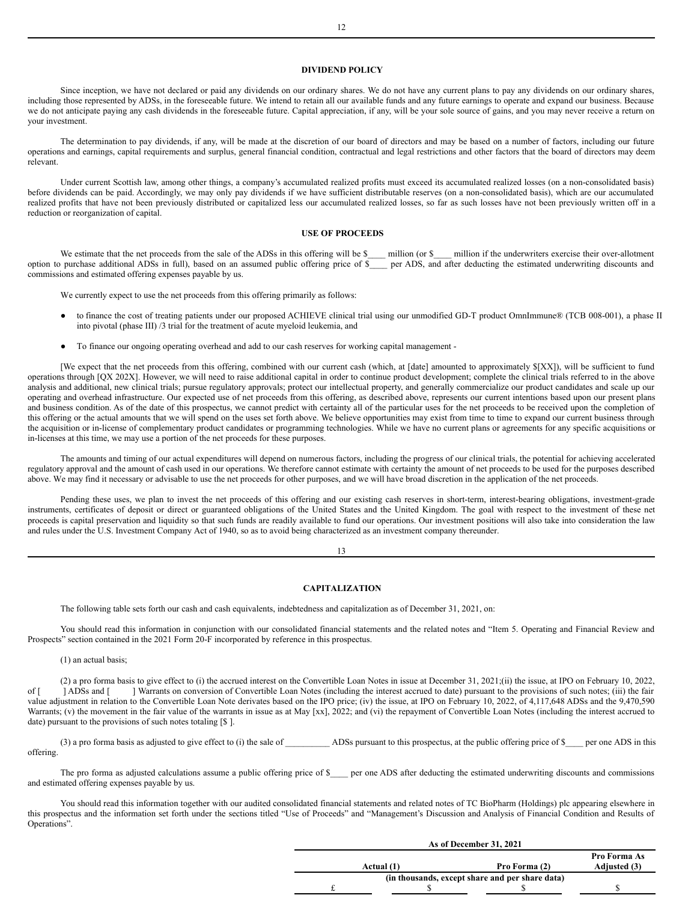# <span id="page-8-0"></span>**DIVIDEND POLICY**

Since inception, we have not declared or paid any dividends on our ordinary shares. We do not have any current plans to pay any dividends on our ordinary shares, including those represented by ADSs, in the foreseeable future. We intend to retain all our available funds and any future earnings to operate and expand our business. Because we do not anticipate paying any cash dividends in the foreseeable future. Capital appreciation, if any, will be your sole source of gains, and you may never receive a return on your investment.

The determination to pay dividends, if any, will be made at the discretion of our board of directors and may be based on a number of factors, including our future operations and earnings, capital requirements and surplus, general financial condition, contractual and legal restrictions and other factors that the board of directors may deem relevant.

Under current Scottish law, among other things, a company's accumulated realized profits must exceed its accumulated realized losses (on a non-consolidated basis) before dividends can be paid. Accordingly, we may only pay dividends if we have sufficient distributable reserves (on a non-consolidated basis), which are our accumulated realized profits that have not been previously distributed or capitalized less our accumulated realized losses, so far as such losses have not been previously written off in a reduction or reorganization of capital.

#### <span id="page-8-1"></span>**USE OF PROCEEDS**

We estimate that the net proceeds from the sale of the ADSs in this offering will be \$\_\_\_\_ million (or \$\_\_\_ million if the underwriters exercise their over-allotment option to purchase additional ADSs in full), based on an assumed public offering price of \$\_\_\_\_ per ADS, and after deducting the estimated underwriting discounts and commissions and estimated offering expenses payable by us.

We currently expect to use the net proceeds from this offering primarily as follows:

- to finance the cost of treating patients under our proposed ACHIEVE clinical trial using our unmodified GD-T product OmnImmune® (TCB 008-001), a phase II into pivotal (phase III) /3 trial for the treatment of acute myeloid leukemia, and
- To finance our ongoing operating overhead and add to our cash reserves for working capital management -

[We expect that the net proceeds from this offering, combined with our current cash (which, at [date] amounted to approximately \$[XX]), will be sufficient to fund operations through [QX 202X]. However, we will need to raise additional capital in order to continue product development; complete the clinical trials referred to in the above analysis and additional, new clinical trials; pursue regulatory approvals; protect our intellectual property, and generally commercialize our product candidates and scale up our operating and overhead infrastructure. Our expected use of net proceeds from this offering, as described above, represents our current intentions based upon our present plans and business condition. As of the date of this prospectus, we cannot predict with certainty all of the particular uses for the net proceeds to be received upon the completion of this offering or the actual amounts that we will spend on the uses set forth above. We believe opportunities may exist from time to time to expand our current business through the acquisition or in-license of complementary product candidates or programming technologies. While we have no current plans or agreements for any specific acquisitions or in-licenses at this time, we may use a portion of the net proceeds for these purposes.

The amounts and timing of our actual expenditures will depend on numerous factors, including the progress of our clinical trials, the potential for achieving accelerated regulatory approval and the amount of cash used in our operations. We therefore cannot estimate with certainty the amount of net proceeds to be used for the purposes described above. We may find it necessary or advisable to use the net proceeds for other purposes, and we will have broad discretion in the application of the net proceeds.

Pending these uses, we plan to invest the net proceeds of this offering and our existing cash reserves in short-term, interest-bearing obligations, investment-grade instruments, certificates of deposit or direct or guaranteed obligations of the United States and the United Kingdom. The goal with respect to the investment of these net proceeds is capital preservation and liquidity so that such funds are readily available to fund our operations. Our investment positions will also take into consideration the law and rules under the U.S. Investment Company Act of 1940, so as to avoid being characterized as an investment company thereunder.

13

#### <span id="page-8-2"></span>**CAPITALIZATION**

The following table sets forth our cash and cash equivalents, indebtedness and capitalization as of December 31, 2021, on:

You should read this information in conjunction with our consolidated financial statements and the related notes and "Item 5. Operating and Financial Review and Prospects" section contained in the 2021 Form 20-F incorporated by reference in this prospectus.

(1) an actual basis;

(2) a pro forma basis to give effect to (i) the accrued interest on the Convertible Loan Notes in issue at December 31, 2021;(ii) the issue, at IPO on February 10, 2022, <br>[ADSs and [I] Warrants on conversion of Convertible of [ ] ADSs and [ ] Warrants on conversion of Convertible Loan Notes (including the interest accrued to date) pursuant to the provisions of such notes; (iii) the fair value adjustment in relation to the Convertible Loan Note derivates based on the IPO price; (iv) the issue, at IPO on February 10, 2022, of 4,117,648 ADSs and the 9,470,590 Warrants; (v) the movement in the fair value of the warrants in issue as at May [xx], 2022; and (vi) the repayment of Convertible Loan Notes (including the interest accrued to date) pursuant to the provisions of such notes totaling [\$ ].

(3) a pro forma basis as adjusted to give effect to (i) the sale of  $\overline{A}$  ADSs pursuant to this prospectus, at the public offering price of \$ per one ADS in this offering.

The pro forma as adjusted calculations assume a public offering price of \$\_\_\_\_ per one ADS after deducting the estimated underwriting discounts and commissions and estimated offering expenses payable by us.

You should read this information together with our audited consolidated financial statements and related notes of TC BioPharm (Holdings) plc appearing elsewhere in this prospectus and the information set forth under the sections titled "Use of Proceeds" and "Management's Discussion and Analysis of Financial Condition and Results of Operations".

| As of December 31, 2021                         |            |               |              |  |
|-------------------------------------------------|------------|---------------|--------------|--|
|                                                 |            |               | Pro Forma As |  |
|                                                 | Actual (1) | Pro Forma (2) | Adjusted (3) |  |
| (in thousands, except share and per share data) |            |               |              |  |
|                                                 |            |               |              |  |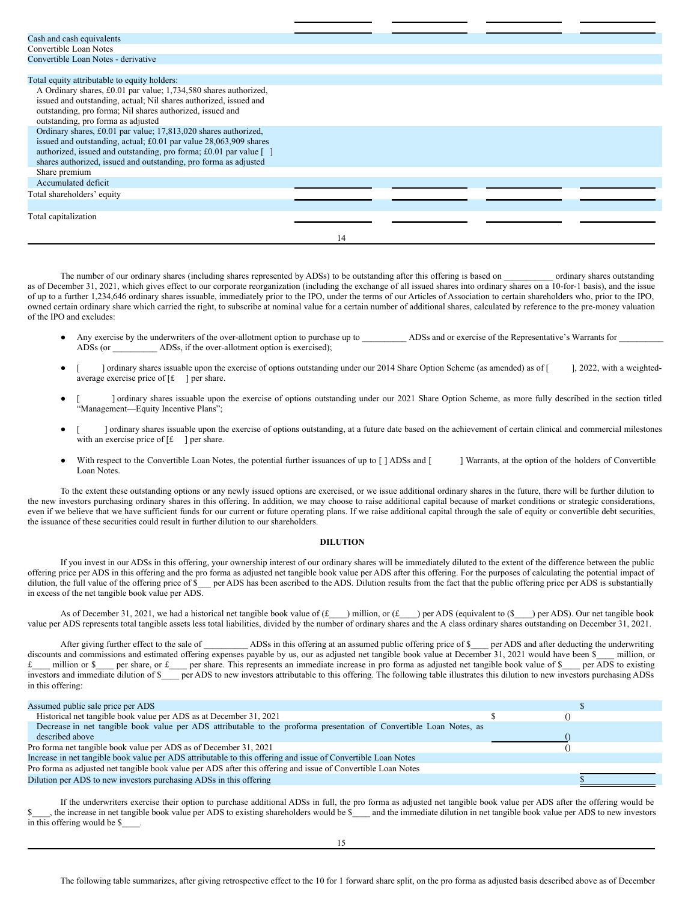| Cash and cash equivalents                                         |    |  |  |
|-------------------------------------------------------------------|----|--|--|
| Convertible Loan Notes                                            |    |  |  |
| Convertible Loan Notes - derivative                               |    |  |  |
|                                                                   |    |  |  |
| Total equity attributable to equity holders:                      |    |  |  |
| A Ordinary shares, £0.01 par value; 1,734,580 shares authorized,  |    |  |  |
| issued and outstanding, actual; Nil shares authorized, issued and |    |  |  |
| outstanding, pro forma; Nil shares authorized, issued and         |    |  |  |
| outstanding, pro forma as adjusted                                |    |  |  |
| Ordinary shares, £0.01 par value; 17,813,020 shares authorized,   |    |  |  |
| issued and outstanding, actual; £0.01 par value 28,063,909 shares |    |  |  |
| authorized, issued and outstanding, pro forma; £0.01 par value [] |    |  |  |
| shares authorized, issued and outstanding, pro forma as adjusted  |    |  |  |
| Share premium                                                     |    |  |  |
| Accumulated deficit                                               |    |  |  |
| Total shareholders' equity                                        |    |  |  |
|                                                                   |    |  |  |
| Total capitalization                                              |    |  |  |
|                                                                   |    |  |  |
|                                                                   | 14 |  |  |
|                                                                   |    |  |  |

The number of our ordinary shares (including shares represented by ADSs) to be outstanding after this offering is based on \_\_\_\_\_\_\_\_\_\_ ordinary shares outstanding as of December 31, 2021, which gives effect to our corporate reorganization (including the exchange of all issued shares into ordinary shares on a 10-for-1 basis), and the issue of up to a further 1,234,646 ordinary shares issuable, immediately prior to the IPO, under the terms of our Articles of Association to certain shareholders who, prior to the IPO, owned certain ordinary share which carried the right, to subscribe at nominal value for a certain number of additional shares, calculated by reference to the pre-money valuation of the IPO and excludes:

- Any exercise by the underwriters of the over-allotment option to purchase up to \_\_\_\_\_\_\_\_\_\_ ADSs and or exercise of the Representative's Warrants for \_\_\_\_\_\_\_\_\_\_ ADSs (or ADSs, if the over-allotment option is exercised);
- ] ordinary shares issuable upon the exercise of options outstanding under our 2014 Share Option Scheme (as amended) as of [ ], 2022, with a weightedaverage exercise price of  $[f \quad]$  per share.
- [ ] ordinary shares issuable upon the exercise of options outstanding under our 2021 Share Option Scheme, as more fully described in the section titled "Management—Equity Incentive Plans";
- [ ] ordinary shares issuable upon the exercise of options outstanding, at a future date based on the achievement of certain clinical and commercial milestones with an exercise price of  $[f_1]$  per share.
- With respect to the Convertible Loan Notes, the potential further issuances of up to [ ] ADSs and [ ] Warrants, at the option of the holders of Convertible Loan Notes.

To the extent these outstanding options or any newly issued options are exercised, or we issue additional ordinary shares in the future, there will be further dilution to the new investors purchasing ordinary shares in this offering. In addition, we may choose to raise additional capital because of market conditions or strategic considerations, even if we believe that we have sufficient funds for our current or future operating plans. If we raise additional capital through the sale of equity or convertible debt securities, the issuance of these securities could result in further dilution to our shareholders.

# <span id="page-9-0"></span>**DILUTION**

If you invest in our ADSs in this offering, your ownership interest of our ordinary shares will be immediately diluted to the extent of the difference between the public offering price per ADS in this offering and the pro forma as adjusted net tangible book value per ADS after this offering. For the purposes of calculating the potential impact of dilution, the full value of the offering price of \$\_\_\_ per ADS has been ascribed to the ADS. Dilution results from the fact that the public offering price per ADS is substantially in excess of the net tangible book value per ADS.

As of December 31, 2021, we had a historical net tangible book value of  $(f_{\text{max}})$  million, or  $(f_{\text{max}})$  per ADS (equivalent to  $(f_{\text{max}})$ ) per ADS). Our net tangible book value per ADS represents total tangible assets less total liabilities, divided by the number of ordinary shares and the A class ordinary shares outstanding on December 31, 2021.

After giving further effect to the sale of \_\_\_\_\_\_\_\_\_\_\_ ADSs in this offering at an assumed public offering price of \$\_\_\_\_ per ADS and after deducting the underwriting discounts and commissions and estimated offering expenses payable by us, our as adjusted net tangible book value at December 31, 2021 would have been \$ million, or £\_\_\_ million or \$\_\_\_ per share, or £\_\_\_ per share. This represents an immediate increase in pro forma as adjusted net tangible book value of \$\_\_\_ per ADS to existing investors and immediate dilution of \$\_\_\_\_ per ADS to new investors attributable to this offering. The following table illustrates this dilution to new investors purchasing ADSs in this offering:

| Assumed public sale price per ADS                                                                                   |  |
|---------------------------------------------------------------------------------------------------------------------|--|
| Historical net tangible book value per ADS as at December 31, 2021                                                  |  |
| Decrease in net tangible book value per ADS attributable to the proforma presentation of Convertible Loan Notes, as |  |
| described above                                                                                                     |  |
| Pro forma net tangible book value per ADS as of December 31, 2021                                                   |  |
| Increase in net tangible book value per ADS attributable to this offering and issue of Convertible Loan Notes       |  |
| Pro forma as adjusted net tangible book value per ADS after this offering and issue of Convertible Loan Notes       |  |
| Dilution per ADS to new investors purchasing ADSs in this offering                                                  |  |
|                                                                                                                     |  |

If the underwriters exercise their option to purchase additional ADSs in full, the pro forma as adjusted net tangible book value per ADS after the offering would be the increase in net tangible book value per ADS to existing shareholders would be \$\_\_\_\_ and the immediate dilution in net tangible book value per ADS to new investors in this offering would be \$\_\_\_\_.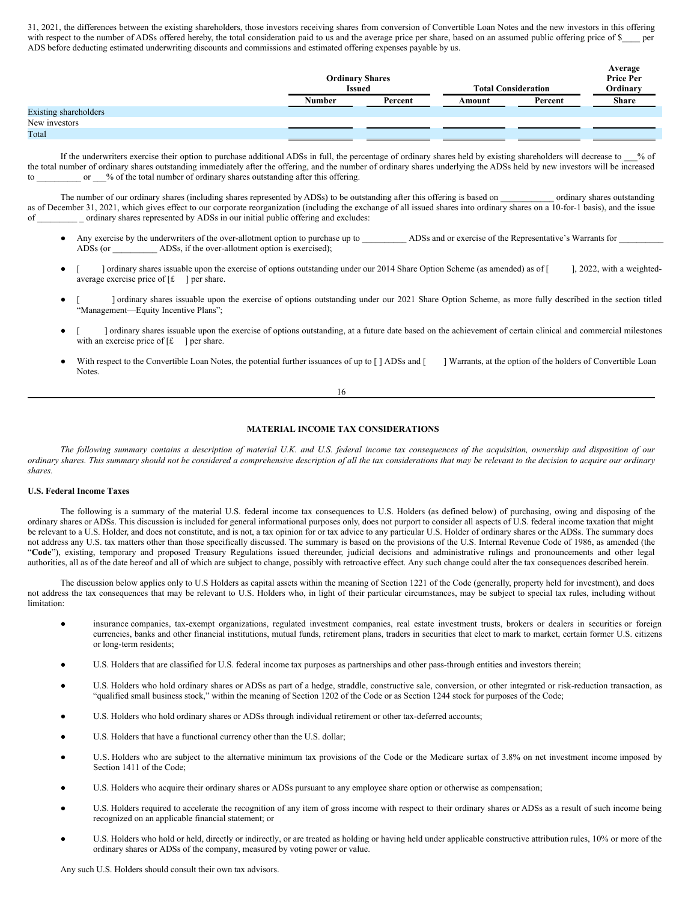31, 2021, the differences between the existing shareholders, those investors receiving shares from conversion of Convertible Loan Notes and the new investors in this offering with respect to the number of ADSs offered hereby, the total consideration paid to us and the average price per share, based on an assumed public offering price of \$\_ ADS before deducting estimated underwriting discounts and commissions and estimated offering expenses payable by us.

**Average**

|                       | <b>Ordinary Shares</b><br><b>Issued</b> |         |        | <b>Total Consideration</b> | $\cdots$<br><b>Price Per</b><br>Ordinary |
|-----------------------|-----------------------------------------|---------|--------|----------------------------|------------------------------------------|
|                       | Number                                  | Percent | Amount | Percent                    | <b>Share</b>                             |
| Existing shareholders |                                         |         |        |                            |                                          |
| New investors         |                                         |         |        |                            |                                          |
| Total                 |                                         |         |        |                            |                                          |

If the underwriters exercise their option to purchase additional ADSs in full, the percentage of ordinary shares held by existing shareholders will decrease to \_\_\_% of the total number of ordinary shares outstanding immediately after the offering, and the number of ordinary shares underlying the ADSs held by new investors will be increased to or  $\%$  of the total number of ordinary shares outstanding after this offering.

The number of our ordinary shares (including shares represented by ADSs) to be outstanding after this offering is based on \_\_\_\_\_\_\_\_\_\_ ordinary shares outstanding as of December 31, 2021, which gives effect to our corporate reorganization (including the exchange of all issued shares into ordinary shares on a 10-for-1 basis), and the issue of \_\_\_\_\_\_\_\_\_ \_ ordinary shares represented by ADSs in our initial public offering and excludes:

- Any exercise by the underwriters of the over-allotment option to purchase up to \_\_\_\_\_\_\_\_\_\_ ADSs and or exercise of the Representative's Warrants for \_\_\_\_\_\_\_\_\_\_ ADSs (or \_\_\_\_\_\_\_\_\_\_ ADSs, if the over-allotment option is exercised);
- [ ] ordinary shares issuable upon the exercise of options outstanding under our 2014 Share Option Scheme (as amended) as of [ ], 2022, with a weightedaverage exercise price of  $[f \quad]$  per share.
- [ ] ordinary shares issuable upon the exercise of options outstanding under our 2021 Share Option Scheme, as more fully described in the section titled "Management—Equity Incentive Plans";
- [ ] ordinary shares issuable upon the exercise of options outstanding, at a future date based on the achievement of certain clinical and commercial milestones with an exercise price of  $[f \quad]$  per share.
- With respect to the Convertible Loan Notes, the potential further issuances of up to [] ADSs and [ ] Warrants, at the option of the holders of Convertible Loan Notes.

16

# <span id="page-10-0"></span>**MATERIAL INCOME TAX CONSIDERATIONS**

The following summary contains a description of material U.K. and U.S. federal income tax consequences of the acquisition, ownership and disposition of our ordinary shares. This summary should not be considered a comprehensive description of all the tax considerations that may be relevant to the decision to acquire our ordinary *shares.*

# **U.S. Federal Income Taxes**

The following is a summary of the material U.S. federal income tax consequences to U.S. Holders (as defined below) of purchasing, owing and disposing of the ordinary shares or ADSs. This discussion is included for general informational purposes only, does not purport to consider all aspects of U.S. federal income taxation that might be relevant to a U.S. Holder, and does not constitute, and is not, a tax opinion for or tax advice to any particular U.S. Holder of ordinary shares or the ADSs. The summary does not address any U.S. tax matters other than those specifically discussed. The summary is based on the provisions of the U.S. Internal Revenue Code of 1986, as amended (the "**Code**"), existing, temporary and proposed Treasury Regulations issued thereunder, judicial decisions and administrative rulings and pronouncements and other legal authorities, all as of the date hereof and all of which are subject to change, possibly with retroactive effect. Any such change could alter the tax consequences described herein.

The discussion below applies only to U.S Holders as capital assets within the meaning of Section 1221 of the Code (generally, property held for investment), and does not address the tax consequences that may be relevant to U.S. Holders who, in light of their particular circumstances, may be subject to special tax rules, including without limitation:

- insurance companies, tax-exempt organizations, regulated investment companies, real estate investment trusts, brokers or dealers in securities or foreign currencies, banks and other financial institutions, mutual funds, retirement plans, traders in securities that elect to mark to market, certain former U.S. citizens or long-term residents;
- U.S. Holders that are classified for U.S. federal income tax purposes as partnerships and other pass-through entities and investors therein;
- U.S. Holders who hold ordinary shares or ADSs as part of a hedge, straddle, constructive sale, conversion, or other integrated or risk-reduction transaction, as "qualified small business stock," within the meaning of Section 1202 of the Code or as Section 1244 stock for purposes of the Code;
- U.S. Holders who hold ordinary shares or ADSs through individual retirement or other tax-deferred accounts;
- U.S. Holders that have a functional currency other than the U.S. dollar;
- U.S. Holders who are subject to the alternative minimum tax provisions of the Code or the Medicare surtax of 3.8% on net investment income imposed by Section 1411 of the Code;
- U.S. Holders who acquire their ordinary shares or ADSs pursuant to any employee share option or otherwise as compensation;
- U.S. Holders required to accelerate the recognition of any item of gross income with respect to their ordinary shares or ADSs as a result of such income being recognized on an applicable financial statement; or
- U.S. Holders who hold or held, directly or indirectly, or are treated as holding or having held under applicable constructive attribution rules, 10% or more of the ordinary shares or ADSs of the company, measured by voting power or value.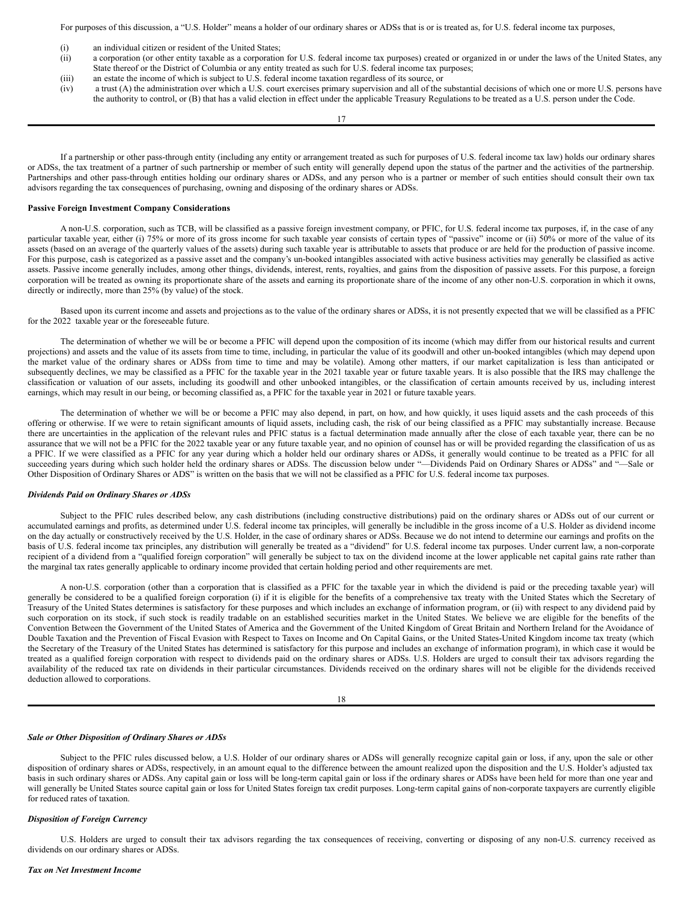For purposes of this discussion, a "U.S. Holder" means a holder of our ordinary shares or ADSs that is or is treated as, for U.S. federal income tax purposes,

- (i) an individual citizen or resident of the United States;
- (ii) a corporation (or other entity taxable as a corporation for U.S. federal income tax purposes) created or organized in or under the laws of the United States, any State thereof or the District of Columbia or any entity treated as such for U.S. federal income tax purposes;
- (iii) an estate the income of which is subject to U.S. federal income taxation regardless of its source, or
- (iv) a trust (A) the administration over which a U.S. court exercises primary supervision and all of the substantial decisions of which one or more U.S. persons have the authority to control, or (B) that has a valid election in effect under the applicable Treasury Regulations to be treated as a U.S. person under the Code.

17

If a partnership or other pass-through entity (including any entity or arrangement treated as such for purposes of U.S. federal income tax law) holds our ordinary shares or ADSs, the tax treatment of a partner of such partnership or member of such entity will generally depend upon the status of the partner and the activities of the partnership. Partnerships and other pass-through entities holding our ordinary shares or ADSs, and any person who is a partner or member of such entities should consult their own tax advisors regarding the tax consequences of purchasing, owning and disposing of the ordinary shares or ADSs.

#### **Passive Foreign Investment Company Considerations**

A non-U.S. corporation, such as TCB, will be classified as a passive foreign investment company, or PFIC, for U.S. federal income tax purposes, if, in the case of any particular taxable year, either (i) 75% or more of its gross income for such taxable year consists of certain types of "passive" income or (ii) 50% or more of the value of its assets (based on an average of the quarterly values of the assets) during such taxable year is attributable to assets that produce or are held for the production of passive income. For this purpose, cash is categorized as a passive asset and the company's un-booked intangibles associated with active business activities may generally be classified as active assets. Passive income generally includes, among other things, dividends, interest, rents, royalties, and gains from the disposition of passive assets. For this purpose, a foreign corporation will be treated as owning its proportionate share of the assets and earning its proportionate share of the income of any other non-U.S. corporation in which it owns, directly or indirectly, more than 25% (by value) of the stock.

Based upon its current income and assets and projections as to the value of the ordinary shares or ADSs, it is not presently expected that we will be classified as a PFIC for the 2022 taxable year or the foreseeable future.

The determination of whether we will be or become a PFIC will depend upon the composition of its income (which may differ from our historical results and current projections) and assets and the value of its assets from time to time, including, in particular the value of its goodwill and other un-booked intangibles (which may depend upon the market value of the ordinary shares or ADSs from time to time and may be volatile). Among other matters, if our market capitalization is less than anticipated or subsequently declines, we may be classified as a PFIC for the taxable year in the 2021 taxable year or future taxable years. It is also possible that the IRS may challenge the classification or valuation of our assets, including its goodwill and other unbooked intangibles, or the classification of certain amounts received by us, including interest earnings, which may result in our being, or becoming classified as, a PFIC for the taxable year in 2021 or future taxable years.

The determination of whether we will be or become a PFIC may also depend, in part, on how, and how quickly, it uses liquid assets and the cash proceeds of this offering or otherwise. If we were to retain significant amounts of liquid assets, including cash, the risk of our being classified as a PFIC may substantially increase. Because there are uncertainties in the application of the relevant rules and PFIC status is a factual determination made annually after the close of each taxable year, there can be no assurance that we will not be a PFIC for the 2022 taxable year or any future taxable year, and no opinion of counsel has or will be provided regarding the classification of us as a PFIC. If we were classified as a PFIC for any year during which a holder held our ordinary shares or ADSs, it generally would continue to be treated as a PFIC for all succeeding years during which such holder held the ordinary shares or ADSs. The discussion below under "—Dividends Paid on Ordinary Shares or ADSs" and "—Sale or Other Disposition of Ordinary Shares or ADS" is written on the basis that we will not be classified as a PFIC for U.S. federal income tax purposes.

#### *Dividends Paid on Ordinary Shares or ADSs*

Subject to the PFIC rules described below, any cash distributions (including constructive distributions) paid on the ordinary shares or ADSs out of our current or accumulated earnings and profits, as determined under U.S. federal income tax principles, will generally be includible in the gross income of a U.S. Holder as dividend income on the day actually or constructively received by the U.S. Holder, in the case of ordinary shares or ADSs. Because we do not intend to determine our earnings and profits on the basis of U.S. federal income tax principles, any distribution will generally be treated as a "dividend" for U.S. federal income tax purposes. Under current law, a non-corporate recipient of a dividend from a "qualified foreign corporation" will generally be subject to tax on the dividend income at the lower applicable net capital gains rate rather than the marginal tax rates generally applicable to ordinary income provided that certain holding period and other requirements are met.

A non-U.S. corporation (other than a corporation that is classified as a PFIC for the taxable year in which the dividend is paid or the preceding taxable year) will generally be considered to be a qualified foreign corporation (i) if it is eligible for the benefits of a comprehensive tax treaty with the United States which the Secretary of Treasury of the United States determines is satisfactory for these purposes and which includes an exchange of information program, or (ii) with respect to any dividend paid by such corporation on its stock, if such stock is readily tradable on an established securities market in the United States. We believe we are eligible for the benefits of the Convention Between the Government of the United States of America and the Government of the United Kingdom of Great Britain and Northern Ireland for the Avoidance of Double Taxation and the Prevention of Fiscal Evasion with Respect to Taxes on Income and On Capital Gains, or the United States-United Kingdom income tax treaty (which the Secretary of the Treasury of the United States has determined is satisfactory for this purpose and includes an exchange of information program), in which case it would be treated as a qualified foreign corporation with respect to dividends paid on the ordinary shares or ADSs. U.S. Holders are urged to consult their tax advisors regarding the availability of the reduced tax rate on dividends in their particular circumstances. Dividends received on the ordinary shares will not be eligible for the dividends received deduction allowed to corporations.

18

#### *Sale or Other Disposition of Ordinary Shares or ADSs*

Subject to the PFIC rules discussed below, a U.S. Holder of our ordinary shares or ADSs will generally recognize capital gain or loss, if any, upon the sale or other disposition of ordinary shares or ADSs, respectively, in an amount equal to the difference between the amount realized upon the disposition and the U.S. Holder's adjusted tax basis in such ordinary shares or ADSs. Any capital gain or loss will be long-term capital gain or loss if the ordinary shares or ADSs have been held for more than one year and will generally be United States source capital gain or loss for United States foreign tax credit purposes. Long-term capital gains of non-corporate taxpayers are currently eligible for reduced rates of taxation.

#### *Disposition of Foreign Currency*

U.S. Holders are urged to consult their tax advisors regarding the tax consequences of receiving, converting or disposing of any non-U.S. currency received as dividends on our ordinary shares or ADSs.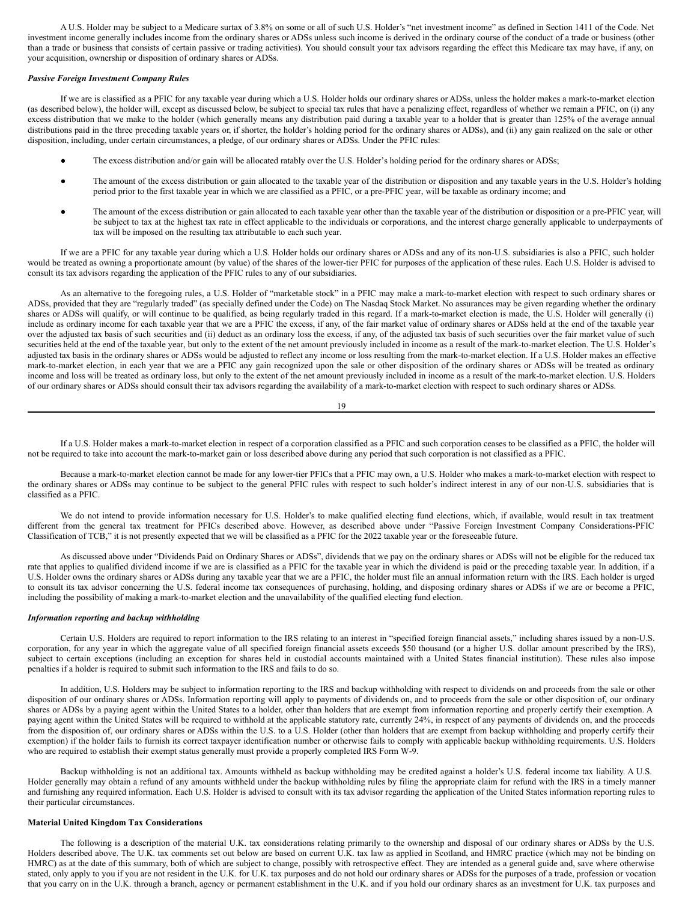A U.S. Holder may be subject to a Medicare surtax of 3.8% on some or all of such U.S. Holder's "net investment income" as defined in Section 1411 of the Code. Net investment income generally includes income from the ordinary shares or ADSs unless such income is derived in the ordinary course of the conduct of a trade or business (other than a trade or business that consists of certain passive or trading activities). You should consult your tax advisors regarding the effect this Medicare tax may have, if any, on your acquisition, ownership or disposition of ordinary shares or ADSs.

# *Passive Foreign Investment Company Rules*

If we are is classified as a PFIC for any taxable year during which a U.S. Holder holds our ordinary shares or ADSs, unless the holder makes a mark-to-market election (as described below), the holder will, except as discussed below, be subject to special tax rules that have a penalizing effect, regardless of whether we remain a PFIC, on (i) any excess distribution that we make to the holder (which generally means any distribution paid during a taxable year to a holder that is greater than 125% of the average annual distributions paid in the three preceding taxable years or, if shorter, the holder's holding period for the ordinary shares or ADSs), and (ii) any gain realized on the sale or other disposition, including, under certain circumstances, a pledge, of our ordinary shares or ADSs. Under the PFIC rules:

- The excess distribution and/or gain will be allocated ratably over the U.S. Holder's holding period for the ordinary shares or ADSs;
- The amount of the excess distribution or gain allocated to the taxable year of the distribution or disposition and any taxable years in the U.S. Holder's holding period prior to the first taxable year in which we are classified as a PFIC, or a pre-PFIC year, will be taxable as ordinary income; and
- The amount of the excess distribution or gain allocated to each taxable year other than the taxable year of the distribution or disposition or a pre-PFIC year, will be subject to tax at the highest tax rate in effect applicable to the individuals or corporations, and the interest charge generally applicable to underpayments of tax will be imposed on the resulting tax attributable to each such year.

If we are a PFIC for any taxable year during which a U.S. Holder holds our ordinary shares or ADSs and any of its non-U.S. subsidiaries is also a PFIC, such holder would be treated as owning a proportionate amount (by value) of the shares of the lower-tier PFIC for purposes of the application of these rules. Each U.S. Holder is advised to consult its tax advisors regarding the application of the PFIC rules to any of our subsidiaries.

As an alternative to the foregoing rules, a U.S. Holder of "marketable stock" in a PFIC may make a mark-to-market election with respect to such ordinary shares or ADSs, provided that they are "regularly traded" (as specially defined under the Code) on The Nasdaq Stock Market. No assurances may be given regarding whether the ordinary shares or ADSs will qualify, or will continue to be qualified, as being regularly traded in this regard. If a mark-to-market election is made, the U.S. Holder will generally (i) include as ordinary income for each taxable year that we are a PFIC the excess, if any, of the fair market value of ordinary shares or ADSs held at the end of the taxable year over the adjusted tax basis of such securities and (ii) deduct as an ordinary loss the excess, if any, of the adjusted tax basis of such securities over the fair market value of such securities held at the end of the taxable year, but only to the extent of the net amount previously included in income as a result of the mark-to-market election. The U.S. Holder's adjusted tax basis in the ordinary shares or ADSs would be adjusted to reflect any income or loss resulting from the mark-to-market election. If a U.S. Holder makes an effective mark-to-market election, in each year that we are a PFIC any gain recognized upon the sale or other disposition of the ordinary shares or ADSs will be treated as ordinary income and loss will be treated as ordinary loss, but only to the extent of the net amount previously included in income as a result of the mark-to-market election. U.S. Holders of our ordinary shares or ADSs should consult their tax advisors regarding the availability of a mark-to-market election with respect to such ordinary shares or ADSs.

19

If a U.S. Holder makes a mark-to-market election in respect of a corporation classified as a PFIC and such corporation ceases to be classified as a PFIC, the holder will not be required to take into account the mark-to-market gain or loss described above during any period that such corporation is not classified as a PFIC.

Because a mark-to-market election cannot be made for any lower-tier PFICs that a PFIC may own, a U.S. Holder who makes a mark-to-market election with respect to the ordinary shares or ADSs may continue to be subject to the general PFIC rules with respect to such holder's indirect interest in any of our non-U.S. subsidiaries that is classified as a PFIC.

We do not intend to provide information necessary for U.S. Holder's to make qualified electing fund elections, which, if available, would result in tax treatment different from the general tax treatment for PFICs described above. However, as described above under "Passive Foreign Investment Company Considerations-PFIC Classification of TCB," it is not presently expected that we will be classified as a PFIC for the 2022 taxable year or the foreseeable future.

As discussed above under "Dividends Paid on Ordinary Shares or ADSs", dividends that we pay on the ordinary shares or ADSs will not be eligible for the reduced tax rate that applies to qualified dividend income if we are is classified as a PFIC for the taxable year in which the dividend is paid or the preceding taxable year. In addition, if a U.S. Holder owns the ordinary shares or ADSs during any taxable year that we are a PFIC, the holder must file an annual information return with the IRS. Each holder is urged to consult its tax advisor concerning the U.S. federal income tax consequences of purchasing, holding, and disposing ordinary shares or ADSs if we are or become a PFIC, including the possibility of making a mark-to-market election and the unavailability of the qualified electing fund election.

# *Information reporting and backup withholding*

Certain U.S. Holders are required to report information to the IRS relating to an interest in "specified foreign financial assets," including shares issued by a non-U.S. corporation, for any year in which the aggregate value of all specified foreign financial assets exceeds \$50 thousand (or a higher U.S. dollar amount prescribed by the IRS), subject to certain exceptions (including an exception for shares held in custodial accounts maintained with a United States financial institution). These rules also impose penalties if a holder is required to submit such information to the IRS and fails to do so.

In addition, U.S. Holders may be subject to information reporting to the IRS and backup withholding with respect to dividends on and proceeds from the sale or other disposition of our ordinary shares or ADSs. Information reporting will apply to payments of dividends on, and to proceeds from the sale or other disposition of, our ordinary shares or ADSs by a paying agent within the United States to a holder, other than holders that are exempt from information reporting and properly certify their exemption. A paying agent within the United States will be required to withhold at the applicable statutory rate, currently 24%, in respect of any payments of dividends on, and the proceeds from the disposition of, our ordinary shares or ADSs within the U.S. to a U.S. Holder (other than holders that are exempt from backup withholding and properly certify their exemption) if the holder fails to furnish its correct taxpayer identification number or otherwise fails to comply with applicable backup withholding requirements. U.S. Holders who are required to establish their exempt status generally must provide a properly completed IRS Form W-9.

Backup withholding is not an additional tax. Amounts withheld as backup withholding may be credited against a holder's U.S. federal income tax liability. A U.S. Holder generally may obtain a refund of any amounts withheld under the backup withholding rules by filing the appropriate claim for refund with the IRS in a timely manner and furnishing any required information. Each U.S. Holder is advised to consult with its tax advisor regarding the application of the United States information reporting rules to their particular circumstances.

# **Material United Kingdom Tax Considerations**

The following is a description of the material U.K. tax considerations relating primarily to the ownership and disposal of our ordinary shares or ADSs by the U.S. Holders described above. The U.K. tax comments set out below are based on current U.K. tax law as applied in Scotland, and HMRC practice (which may not be binding on HMRC) as at the date of this summary, both of which are subject to change, possibly with retrospective effect. They are intended as a general guide and, save where otherwise stated, only apply to you if you are not resident in the U.K. for U.K. tax purposes and do not hold our ordinary shares or ADSs for the purposes of a trade, profession or vocation that you carry on in the U.K. through a branch, agency or permanent establishment in the U.K. and if you hold our ordinary shares as an investment for U.K. tax purposes and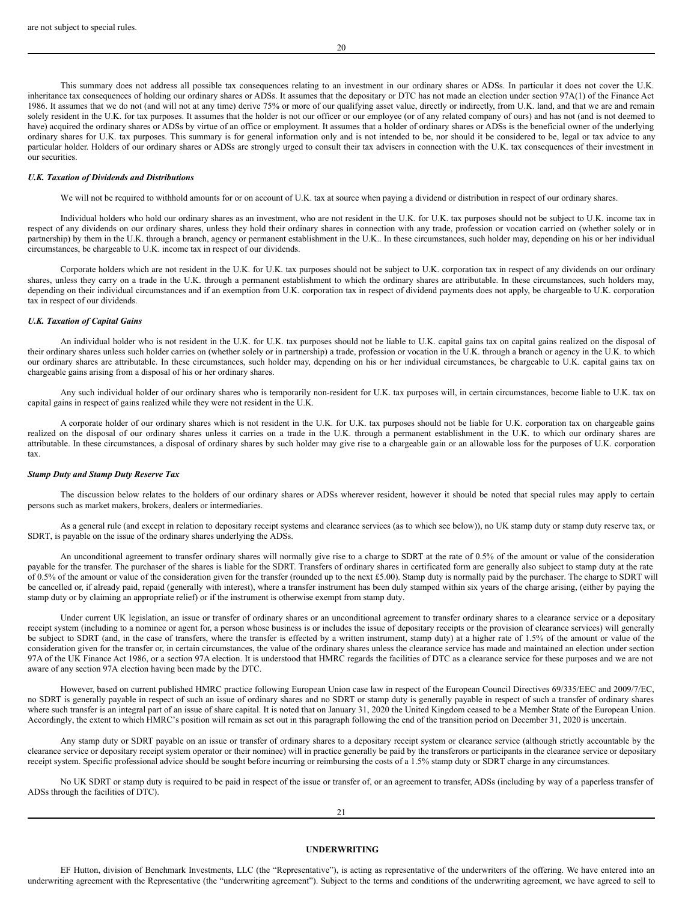This summary does not address all possible tax consequences relating to an investment in our ordinary shares or ADSs. In particular it does not cover the U.K. inheritance tax consequences of holding our ordinary shares or ADSs. It assumes that the depositary or DTC has not made an election under section 97A(1) of the Finance Act 1986. It assumes that we do not (and will not at any time) derive 75% or more of our qualifying asset value, directly or indirectly, from U.K. land, and that we are and remain solely resident in the U.K. for tax purposes. It assumes that the holder is not our officer or our employee (or of any related company of ours) and has not (and is not deemed to have) acquired the ordinary shares or ADSs by virtue of an office or employment. It assumes that a holder of ordinary shares or ADSs is the beneficial owner of the underlying ordinary shares for U.K. tax purposes. This summary is for general information only and is not intended to be, nor should it be considered to be, legal or tax advice to any particular holder. Holders of our ordinary shares or ADSs are strongly urged to consult their tax advisers in connection with the U.K. tax consequences of their investment in our securities.

#### *U.K. Taxation of Dividends and Distributions*

We will not be required to withhold amounts for or on account of U.K. tax at source when paying a dividend or distribution in respect of our ordinary shares.

Individual holders who hold our ordinary shares as an investment, who are not resident in the U.K. for U.K. tax purposes should not be subject to U.K. income tax in respect of any dividends on our ordinary shares, unless they hold their ordinary shares in connection with any trade, profession or vocation carried on (whether solely or in partnership) by them in the U.K. through a branch, agency or permanent establishment in the U.K.. In these circumstances, such holder may, depending on his or her individual circumstances, be chargeable to U.K. income tax in respect of our dividends.

Corporate holders which are not resident in the U.K. for U.K. tax purposes should not be subject to U.K. corporation tax in respect of any dividends on our ordinary shares, unless they carry on a trade in the U.K. through a permanent establishment to which the ordinary shares are attributable. In these circumstances, such holders may, depending on their individual circumstances and if an exemption from U.K. corporation tax in respect of dividend payments does not apply, be chargeable to U.K. corporation tax in respect of our dividends.

## *U.K. Taxation of Capital Gains*

An individual holder who is not resident in the U.K. for U.K. tax purposes should not be liable to U.K. capital gains tax on capital gains realized on the disposal of their ordinary shares unless such holder carries on (whether solely or in partnership) a trade, profession or vocation in the U.K. through a branch or agency in the U.K. to which our ordinary shares are attributable. In these circumstances, such holder may, depending on his or her individual circumstances, be chargeable to U.K. capital gains tax on chargeable gains arising from a disposal of his or her ordinary shares.

Any such individual holder of our ordinary shares who is temporarily non-resident for U.K. tax purposes will, in certain circumstances, become liable to U.K. tax on capital gains in respect of gains realized while they were not resident in the U.K.

A corporate holder of our ordinary shares which is not resident in the U.K. for U.K. tax purposes should not be liable for U.K. corporation tax on chargeable gains realized on the disposal of our ordinary shares unless it carries on a trade in the U.K. through a permanent establishment in the U.K. to which our ordinary shares are attributable. In these circumstances, a disposal of ordinary shares by such holder may give rise to a chargeable gain or an allowable loss for the purposes of U.K. corporation tax.

#### *Stamp Duty and Stamp Duty Reserve Tax*

The discussion below relates to the holders of our ordinary shares or ADSs wherever resident, however it should be noted that special rules may apply to certain persons such as market makers, brokers, dealers or intermediaries.

As a general rule (and except in relation to depositary receipt systems and clearance services (as to which see below)), no UK stamp duty or stamp duty reserve tax, or SDRT, is payable on the issue of the ordinary shares underlying the ADSs.

An unconditional agreement to transfer ordinary shares will normally give rise to a charge to SDRT at the rate of 0.5% of the amount or value of the consideration payable for the transfer. The purchaser of the shares is liable for the SDRT. Transfers of ordinary shares in certificated form are generally also subject to stamp duty at the rate of 0.5% of the amount or value of the consideration given for the transfer (rounded up to the next £5.00). Stamp duty is normally paid by the purchaser. The charge to SDRT will be cancelled or, if already paid, repaid (generally with interest), where a transfer instrument has been duly stamped within six years of the charge arising, (either by paying the stamp duty or by claiming an appropriate relief) or if the instrument is otherwise exempt from stamp duty.

Under current UK legislation, an issue or transfer of ordinary shares or an unconditional agreement to transfer ordinary shares to a clearance service or a depositary receipt system (including to a nominee or agent for, a person whose business is or includes the issue of depositary receipts or the provision of clearance services) will generally be subject to SDRT (and, in the case of transfers, where the transfer is effected by a written instrument, stamp duty) at a higher rate of 1.5% of the amount or value of the consideration given for the transfer or, in certain circumstances, the value of the ordinary shares unless the clearance service has made and maintained an election under section 97A of the UK Finance Act 1986, or a section 97A election. It is understood that HMRC regards the facilities of DTC as a clearance service for these purposes and we are not aware of any section 97A election having been made by the DTC.

However, based on current published HMRC practice following European Union case law in respect of the European Council Directives 69/335/EEC and 2009/7/EC, no SDRT is generally payable in respect of such an issue of ordinary shares and no SDRT or stamp duty is generally payable in respect of such a transfer of ordinary shares where such transfer is an integral part of an issue of share capital. It is noted that on January 31, 2020 the United Kingdom ceased to be a Member State of the European Union. Accordingly, the extent to which HMRC's position will remain as set out in this paragraph following the end of the transition period on December 31, 2020 is uncertain.

Any stamp duty or SDRT payable on an issue or transfer of ordinary shares to a depositary receipt system or clearance service (although strictly accountable by the clearance service or depositary receipt system operator or their nominee) will in practice generally be paid by the transferors or participants in the clearance service or depositary receipt system. Specific professional advice should be sought before incurring or reimbursing the costs of a 1.5% stamp duty or SDRT charge in any circumstances.

No UK SDRT or stamp duty is required to be paid in respect of the issue or transfer of, or an agreement to transfer, ADSs (including by way of a paperless transfer of ADSs through the facilities of DTC).

# <span id="page-13-0"></span>**UNDERWRITING**

EF Hutton, division of Benchmark Investments, LLC (the "Representative"), is acting as representative of the underwriters of the offering. We have entered into an underwriting agreement with the Representative (the "underwriting agreement"). Subject to the terms and conditions of the underwriting agreement, we have agreed to sell to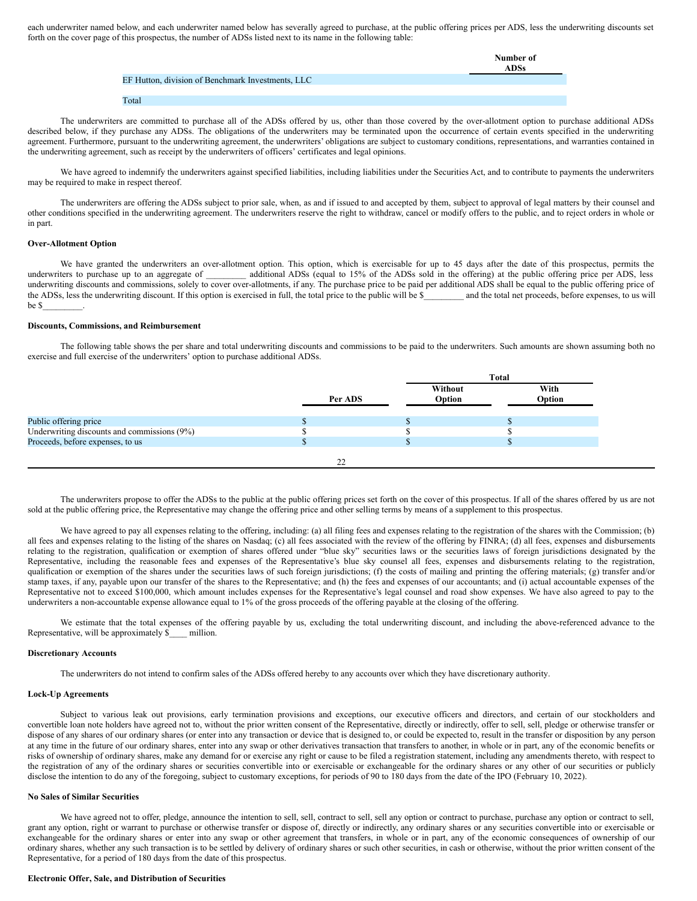each underwriter named below, and each underwriter named below has severally agreed to purchase, at the public offering prices per ADS, less the underwriting discounts set forth on the cover page of this prospectus, the number of ADSs listed next to its name in the following table:

|                                                   | Number of |
|---------------------------------------------------|-----------|
|                                                   | ADSs      |
| EF Hutton, division of Benchmark Investments, LLC |           |
|                                                   |           |
| Total                                             |           |

The underwriters are committed to purchase all of the ADSs offered by us, other than those covered by the over-allotment option to purchase additional ADSs described below, if they purchase any ADSs. The obligations of the underwriters may be terminated upon the occurrence of certain events specified in the underwriting agreement. Furthermore, pursuant to the underwriting agreement, the underwriters' obligations are subject to customary conditions, representations, and warranties contained in the underwriting agreement, such as receipt by the underwriters of officers' certificates and legal opinions.

We have agreed to indemnify the underwriters against specified liabilities, including liabilities under the Securities Act, and to contribute to payments the underwriters may be required to make in respect thereof.

The underwriters are offering the ADSs subject to prior sale, when, as and if issued to and accepted by them, subject to approval of legal matters by their counsel and other conditions specified in the underwriting agreement. The underwriters reserve the right to withdraw, cancel or modify offers to the public, and to reject orders in whole or in part.

# **Over-Allotment Option**

We have granted the underwriters an over-allotment option. This option, which is exercisable for up to 45 days after the date of this prospectus, permits the underwriters to purchase up to an aggregate of \_\_\_\_\_\_\_\_\_ additional ADSs (equal to 15% of the ADSs sold in the offering) at the public offering price per ADS, less underwriting discounts and commissions, solely to cover over-allotments, if any. The purchase price to be paid per additional ADS shall be equal to the public offering price of the ADSs, less the underwriting discount. If this option is exercised in full, the total price to the public will be \$\_\_\_\_\_\_\_ and the total net proceeds, before expenses, to us will be \$\_\_\_\_\_\_\_\_\_.

# **Discounts, Commissions, and Reimbursement**

The following table shows the per share and total underwriting discounts and commissions to be paid to the underwriters. Such amounts are shown assuming both no exercise and full exercise of the underwriters' option to purchase additional ADSs.

|                                             |         |                   | <b>Total</b> |                |  |
|---------------------------------------------|---------|-------------------|--------------|----------------|--|
|                                             | Per ADS | Without<br>Option |              | With<br>Option |  |
| Public offering price                       |         |                   |              |                |  |
| Underwriting discounts and commissions (9%) |         |                   |              |                |  |
| Proceeds, before expenses, to us            |         |                   |              |                |  |
|                                             | 22      |                   |              |                |  |

The underwriters propose to offer the ADSs to the public at the public offering prices set forth on the cover of this prospectus. If all of the shares offered by us are not sold at the public offering price, the Representative may change the offering price and other selling terms by means of a supplement to this prospectus.

We have agreed to pay all expenses relating to the offering, including: (a) all filing fees and expenses relating to the registration of the shares with the Commission; (b) all fees and expenses relating to the listing of the shares on Nasdaq; (c) all fees associated with the review of the offering by FINRA; (d) all fees, expenses and disbursements relating to the registration, qualification or exemption of shares offered under "blue sky" securities laws or the securities laws of foreign jurisdictions designated by the Representative, including the reasonable fees and expenses of the Representative's blue sky counsel all fees, expenses and disbursements relating to the registration, qualification or exemption of the shares under the securities laws of such foreign jurisdictions; (f) the costs of mailing and printing the offering materials; (g) transfer and/or stamp taxes, if any, payable upon our transfer of the shares to the Representative; and (h) the fees and expenses of our accountants; and (i) actual accountable expenses of the Representative not to exceed \$100,000, which amount includes expenses for the Representative's legal counsel and road show expenses. We have also agreed to pay to the underwriters a non-accountable expense allowance equal to 1% of the gross proceeds of the offering payable at the closing of the offering.

We estimate that the total expenses of the offering payable by us, excluding the total underwriting discount, and including the above-referenced advance to the Representative, will be approximately \$\_\_\_\_ million.

#### **Discretionary Accounts**

The underwriters do not intend to confirm sales of the ADSs offered hereby to any accounts over which they have discretionary authority.

# **Lock-Up Agreements**

Subject to various leak out provisions, early termination provisions and exceptions, our executive officers and directors, and certain of our stockholders and convertible loan note holders have agreed not to, without the prior written consent of the Representative, directly or indirectly, offer to sell, sell, pledge or otherwise transfer or dispose of any shares of our ordinary shares (or enter into any transaction or device that is designed to, or could be expected to, result in the transfer or disposition by any person at any time in the future of our ordinary shares, enter into any swap or other derivatives transaction that transfers to another, in whole or in part, any of the economic benefits or risks of ownership of ordinary shares, make any demand for or exercise any right or cause to be filed a registration statement, including any amendments thereto, with respect to the registration of any of the ordinary shares or securities convertible into or exercisable or exchangeable for the ordinary shares or any other of our securities or publicly disclose the intention to do any of the foregoing, subject to customary exceptions, for periods of 90 to 180 days from the date of the IPO (February 10, 2022).

# **No Sales of Similar Securities**

We have agreed not to offer, pledge, announce the intention to sell, sell, contract to sell, sell any option or contract to purchase, purchase any option or contract to sell, grant any option, right or warrant to purchase or otherwise transfer or dispose of, directly or indirectly, any ordinary shares or any securities convertible into or exercisable or exchangeable for the ordinary shares or enter into any swap or other agreement that transfers, in whole or in part, any of the economic consequences of ownership of our ordinary shares, whether any such transaction is to be settled by delivery of ordinary shares or such other securities, in cash or otherwise, without the prior written consent of the Representative, for a period of 180 days from the date of this prospectus.

#### **Electronic Offer, Sale, and Distribution of Securities**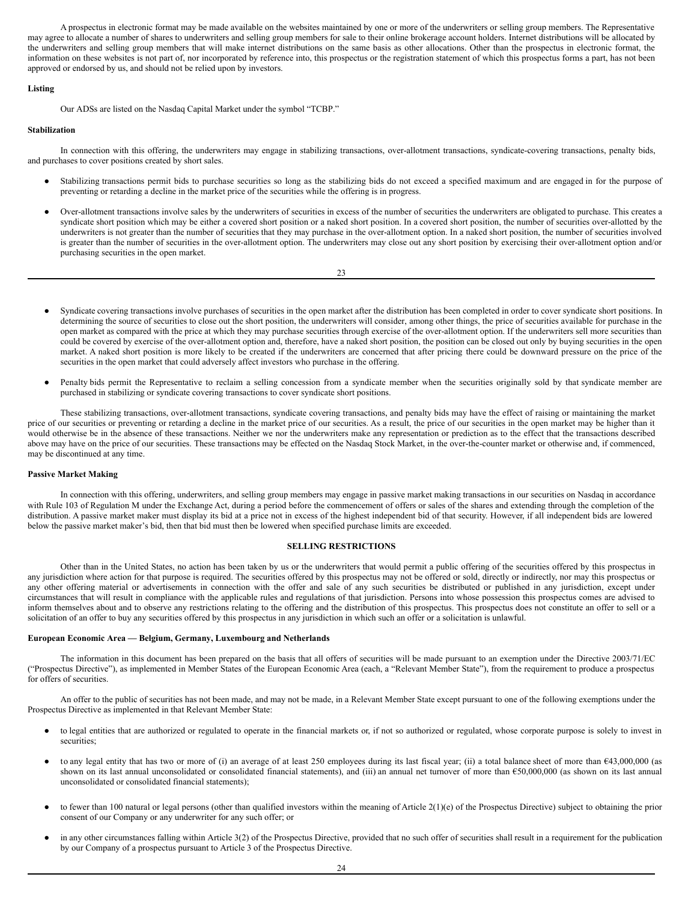A prospectus in electronic format may be made available on the websites maintained by one or more of the underwriters or selling group members. The Representative may agree to allocate a number of shares to underwriters and selling group members for sale to their online brokerage account holders. Internet distributions will be allocated by the underwriters and selling group members that will make internet distributions on the same basis as other allocations. Other than the prospectus in electronic format, the information on these websites is not part of, nor incorporated by reference into, this prospectus or the registration statement of which this prospectus forms a part, has not been approved or endorsed by us, and should not be relied upon by investors.

# **Listing**

Our ADSs are listed on the Nasdaq Capital Market under the symbol "TCBP."

# **Stabilization**

In connection with this offering, the underwriters may engage in stabilizing transactions, over-allotment transactions, syndicate-covering transactions, penalty bids, and purchases to cover positions created by short sales.

- Stabilizing transactions permit bids to purchase securities so long as the stabilizing bids do not exceed a specified maximum and are engaged in for the purpose of preventing or retarding a decline in the market price of the securities while the offering is in progress.
- Over-allotment transactions involve sales by the underwriters of securities in excess of the number of securities the underwriters are obligated to purchase. This creates a syndicate short position which may be either a covered short position or a naked short position. In a covered short position, the number of securities over-allotted by the underwriters is not greater than the number of securities that they may purchase in the over-allotment option. In a naked short position, the number of securities involved is greater than the number of securities in the over-allotment option. The underwriters may close out any short position by exercising their over-allotment option and/or purchasing securities in the open market.

23

- Syndicate covering transactions involve purchases of securities in the open market after the distribution has been completed in order to cover syndicate short positions. In determining the source of securities to close out the short position, the underwriters will consider, among other things, the price of securities available for purchase in the open market as compared with the price at which they may purchase securities through exercise of the over-allotment option. If the underwriters sell more securities than could be covered by exercise of the over-allotment option and, therefore, have a naked short position, the position can be closed out only by buying securities in the open market. A naked short position is more likely to be created if the underwriters are concerned that after pricing there could be downward pressure on the price of the securities in the open market that could adversely affect investors who purchase in the offering.
- Penalty bids permit the Representative to reclaim a selling concession from a syndicate member when the securities originally sold by that syndicate member are purchased in stabilizing or syndicate covering transactions to cover syndicate short positions.

These stabilizing transactions, over-allotment transactions, syndicate covering transactions, and penalty bids may have the effect of raising or maintaining the market price of our securities or preventing or retarding a decline in the market price of our securities. As a result, the price of our securities in the open market may be higher than it would otherwise be in the absence of these transactions. Neither we nor the underwriters make any representation or prediction as to the effect that the transactions described above may have on the price of our securities. These transactions may be effected on the Nasdaq Stock Market, in the over-the-counter market or otherwise and, if commenced, may be discontinued at any time.

# **Passive Market Making**

In connection with this offering, underwriters, and selling group members may engage in passive market making transactions in our securities on Nasdaq in accordance with Rule 103 of Regulation M under the Exchange Act, during a period before the commencement of offers or sales of the shares and extending through the completion of the distribution. A passive market maker must display its bid at a price not in excess of the highest independent bid of that security. However, if all independent bids are lowered below the passive market maker's bid, then that bid must then be lowered when specified purchase limits are exceeded.

# **SELLING RESTRICTIONS**

Other than in the United States, no action has been taken by us or the underwriters that would permit a public offering of the securities offered by this prospectus in any jurisdiction where action for that purpose is required. The securities offered by this prospectus may not be offered or sold, directly or indirectly, nor may this prospectus or any other offering material or advertisements in connection with the offer and sale of any such securities be distributed or published in any jurisdiction, except under circumstances that will result in compliance with the applicable rules and regulations of that jurisdiction. Persons into whose possession this prospectus comes are advised to inform themselves about and to observe any restrictions relating to the offering and the distribution of this prospectus. This prospectus does not constitute an offer to sell or a solicitation of an offer to buy any securities offered by this prospectus in any jurisdiction in which such an offer or a solicitation is unlawful.

#### **European Economic Area — Belgium, Germany, Luxembourg and Netherlands**

The information in this document has been prepared on the basis that all offers of securities will be made pursuant to an exemption under the Directive 2003/71/EC ("Prospectus Directive"), as implemented in Member States of the European Economic Area (each, a "Relevant Member State"), from the requirement to produce a prospectus for offers of securities.

An offer to the public of securities has not been made, and may not be made, in a Relevant Member State except pursuant to one of the following exemptions under the Prospectus Directive as implemented in that Relevant Member State:

- to legal entities that are authorized or regulated to operate in the financial markets or, if not so authorized or regulated, whose corporate purpose is solely to invest in securities;
- to any legal entity that has two or more of (i) an average of at least 250 employees during its last fiscal year; (ii) a total balance sheet of more than €43,000,000 (as shown on its last annual unconsolidated or consolidated financial statements), and (iii) an annual net turnover of more than €50,000,000 (as shown on its last annual unconsolidated or consolidated financial statements);
- to fewer than 100 natural or legal persons (other than qualified investors within the meaning of Article 2(1)(e) of the Prospectus Directive) subject to obtaining the prior consent of our Company or any underwriter for any such offer; or
- in any other circumstances falling within Article 3(2) of the Prospectus Directive, provided that no such offer of securities shall result in a requirement for the publication by our Company of a prospectus pursuant to Article 3 of the Prospectus Directive.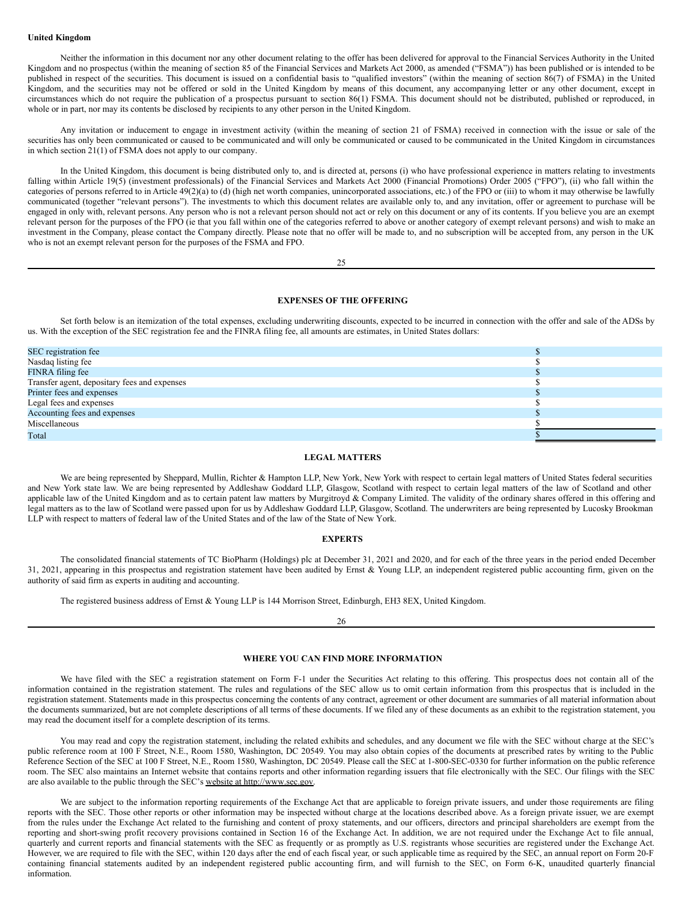#### **United Kingdom**

Neither the information in this document nor any other document relating to the offer has been delivered for approval to the Financial Services Authority in the United Kingdom and no prospectus (within the meaning of section 85 of the Financial Services and Markets Act 2000, as amended ("FSMA")) has been published or is intended to be published in respect of the securities. This document is issued on a confidential basis to "qualified investors" (within the meaning of section 86(7) of FSMA) in the United Kingdom, and the securities may not be offered or sold in the United Kingdom by means of this document, any accompanying letter or any other document, except in circumstances which do not require the publication of a prospectus pursuant to section 86(1) FSMA. This document should not be distributed, published or reproduced, in whole or in part, nor may its contents be disclosed by recipients to any other person in the United Kingdom.

Any invitation or inducement to engage in investment activity (within the meaning of section 21 of FSMA) received in connection with the issue or sale of the securities has only been communicated or caused to be communicated and will only be communicated or caused to be communicated in the United Kingdom in circumstances in which section 21(1) of FSMA does not apply to our company.

In the United Kingdom, this document is being distributed only to, and is directed at, persons (i) who have professional experience in matters relating to investments falling within Article 19(5) (investment professionals) of the Financial Services and Markets Act 2000 (Financial Promotions) Order 2005 ("FPO"), (ii) who fall within the categories of persons referred to in Article 49(2)(a) to (d) (high net worth companies, unincorporated associations, etc.) of the FPO or (iii) to whom it may otherwise be lawfully communicated (together "relevant persons"). The investments to which this document relates are available only to, and any invitation, offer or agreement to purchase will be engaged in only with, relevant persons. Any person who is not a relevant person should not act or rely on this document or any of its contents. If you believe you are an exempt relevant person for the purposes of the FPO (ie that you fall within one of the categories referred to above or another category of exempt relevant persons) and wish to make an investment in the Company, please contact the Company directly. Please note that no offer will be made to, and no subscription will be accepted from, any person in the UK who is not an exempt relevant person for the purposes of the FSMA and FPO.

 $25$ 

# <span id="page-16-0"></span>**EXPENSES OF THE OFFERING**

Set forth below is an itemization of the total expenses, excluding underwriting discounts, expected to be incurred in connection with the offer and sale of the ADSs by us. With the exception of the SEC registration fee and the FINRA filing fee, all amounts are estimates, in United States dollars:

| SEC registration fee                         |  |
|----------------------------------------------|--|
| Nasdaq listing fee                           |  |
| FINRA filing fee                             |  |
| Transfer agent, depositary fees and expenses |  |
| Printer fees and expenses                    |  |
| Legal fees and expenses                      |  |
| Accounting fees and expenses                 |  |
| Miscellaneous                                |  |
| Total                                        |  |

# <span id="page-16-1"></span>**LEGAL MATTERS**

We are being represented by Sheppard, Mullin, Richter & Hampton LLP, New York, New York with respect to certain legal matters of United States federal securities and New York state law. We are being represented by Addleshaw Goddard LLP, Glasgow, Scotland with respect to certain legal matters of the law of Scotland and other applicable law of the United Kingdom and as to certain patent law matters by Murgitroyd & Company Limited. The validity of the ordinary shares offered in this offering and legal matters as to the law of Scotland were passed upon for us by Addleshaw Goddard LLP, Glasgow, Scotland. The underwriters are being represented by Lucosky Brookman LLP with respect to matters of federal law of the United States and of the law of the State of New York.

#### <span id="page-16-2"></span>**EXPERTS**

The consolidated financial statements of TC BioPharm (Holdings) plc at December 31, 2021 and 2020, and for each of the three years in the period ended December 31, 2021, appearing in this prospectus and registration statement have been audited by Ernst & Young LLP, an independent registered public accounting firm, given on the authority of said firm as experts in auditing and accounting.

The registered business address of Ernst & Young LLP is 144 Morrison Street, Edinburgh, EH3 8EX, United Kingdom.

26

# <span id="page-16-3"></span>**WHERE YOU CAN FIND MORE INFORMATION**

We have filed with the SEC a registration statement on Form F-1 under the Securities Act relating to this offering. This prospectus does not contain all of the information contained in the registration statement. The rules and regulations of the SEC allow us to omit certain information from this prospectus that is included in the registration statement. Statements made in this prospectus concerning the contents of any contract, agreement or other document are summaries of all material information about the documents summarized, but are not complete descriptions of all terms of these documents. If we filed any of these documents as an exhibit to the registration statement, you may read the document itself for a complete description of its terms.

You may read and copy the registration statement, including the related exhibits and schedules, and any document we file with the SEC without charge at the SEC's public reference room at 100 F Street, N.E., Room 1580, Washington, DC 20549. You may also obtain copies of the documents at prescribed rates by writing to the Public Reference Section of the SEC at 100 F Street, N.E., Room 1580, Washington, DC 20549. Please call the SEC at 1-800-SEC-0330 for further information on the public reference room. The SEC also maintains an Internet website that contains reports and other information regarding issuers that file electronically with the SEC. Our filings with the SEC are also available to the public through the SEC's website at http://www.sec.gov.

We are subject to the information reporting requirements of the Exchange Act that are applicable to foreign private issuers, and under those requirements are filing reports with the SEC. Those other reports or other information may be inspected without charge at the locations described above. As a foreign private issuer, we are exempt from the rules under the Exchange Act related to the furnishing and content of proxy statements, and our officers, directors and principal shareholders are exempt from the reporting and short-swing profit recovery provisions contained in Section 16 of the Exchange Act. In addition, we are not required under the Exchange Act to file annual, quarterly and current reports and financial statements with the SEC as frequently or as promptly as U.S. registrants whose securities are registered under the Exchange Act. However, we are required to file with the SEC, within 120 days after the end of each fiscal year, or such applicable time as required by the SEC, an annual report on Form 20-F containing financial statements audited by an independent registered public accounting firm, and will furnish to the SEC, on Form 6-K, unaudited quarterly financial information.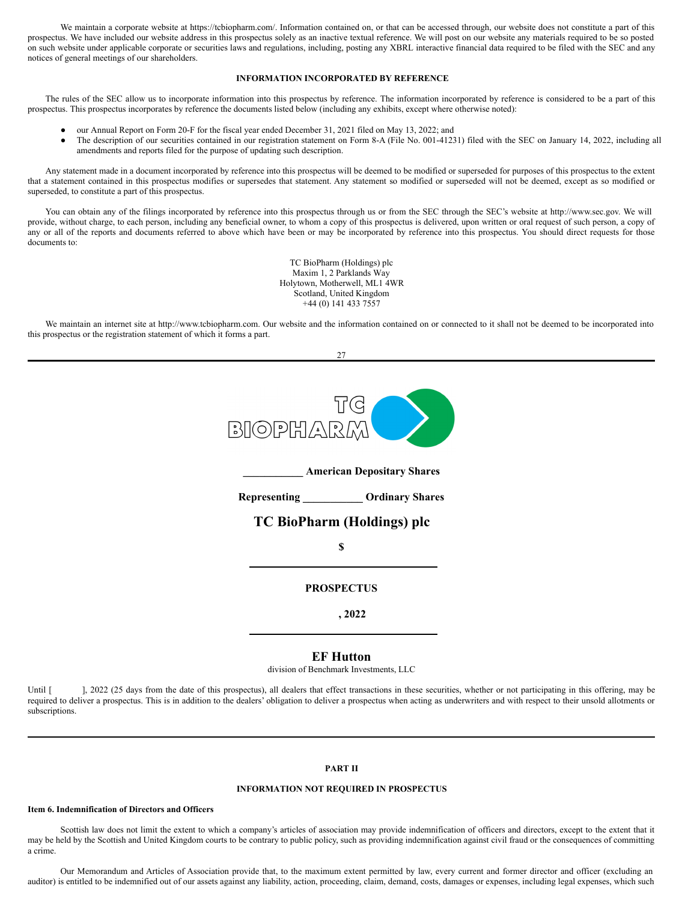We maintain a corporate website at https://tcbiopharm.com/. Information contained on, or that can be accessed through, our website does not constitute a part of this prospectus. We have included our website address in this prospectus solely as an inactive textual reference. We will post on our website any materials required to be so posted on such website under applicable corporate or securities laws and regulations, including, posting any XBRL interactive financial data required to be filed with the SEC and any notices of general meetings of our shareholders.

# <span id="page-17-0"></span>**INFORMATION INCORPORATED BY REFERENCE**

The rules of the SEC allow us to incorporate information into this prospectus by reference. The information incorporated by reference is considered to be a part of this prospectus. This prospectus incorporates by reference the documents listed below (including any exhibits, except where otherwise noted):

- our Annual Report on Form 20-F for the fiscal year ended December 31, 2021 filed on May 13, 2022; and
- The description of our securities contained in our registration statement on Form 8-A (File No. 001-41231) filed with the SEC on January 14, 2022, including all amendments and reports filed for the purpose of updating such description.

Any statement made in a document incorporated by reference into this prospectus will be deemed to be modified or superseded for purposes of this prospectus to the extent that a statement contained in this prospectus modifies or supersedes that statement. Any statement so modified or superseded will not be deemed, except as so modified or superseded, to constitute a part of this prospectus.

You can obtain any of the filings incorporated by reference into this prospectus through us or from the SEC through the SEC's website at http://www.sec.gov. We will provide, without charge, to each person, including any beneficial owner, to whom a copy of this prospectus is delivered, upon written or oral request of such person, a copy of any or all of the reports and documents referred to above which have been or may be incorporated by reference into this prospectus. You should direct requests for those documents to:

> TC BioPharm (Holdings) plc Maxim 1, 2 Parklands Way Holytown, Motherwell, ML1 4WR Scotland, United Kingdom +44 (0) 141 433 7557

We maintain an internet site at http://www.tcbiopharm.com. Our website and the information contained on or connected to it shall not be deemed to be incorporated into this prospectus or the registration statement of which it forms a part.

 $27$ 



**\_\_\_\_\_\_\_\_\_\_\_ American Depositary Shares**

**Representing \_\_\_\_\_\_\_\_\_\_\_ Ordinary Shares**

# **TC BioPharm (Holdings) plc**

**\$**

**PROSPECTUS**

**, 2022**

**EF Hutton**

division of Benchmark Investments, LLC

Until [ ], 2022 (25 days from the date of this prospectus), all dealers that effect transactions in these securities, whether or not participating in this offering, may be required to deliver a prospectus. This is in addition to the dealers' obligation to deliver a prospectus when acting as underwriters and with respect to their unsold allotments or subscriptions.

# **PART II**

# **INFORMATION NOT REQUIRED IN PROSPECTUS**

#### **Item 6. Indemnification of Directors and Officers**

Scottish law does not limit the extent to which a company's articles of association may provide indemnification of officers and directors, except to the extent that it may be held by the Scottish and United Kingdom courts to be contrary to public policy, such as providing indemnification against civil fraud or the consequences of committing a crime.

Our Memorandum and Articles of Association provide that, to the maximum extent permitted by law, every current and former director and officer (excluding an auditor) is entitled to be indemnified out of our assets against any liability, action, proceeding, claim, demand, costs, damages or expenses, including legal expenses, which such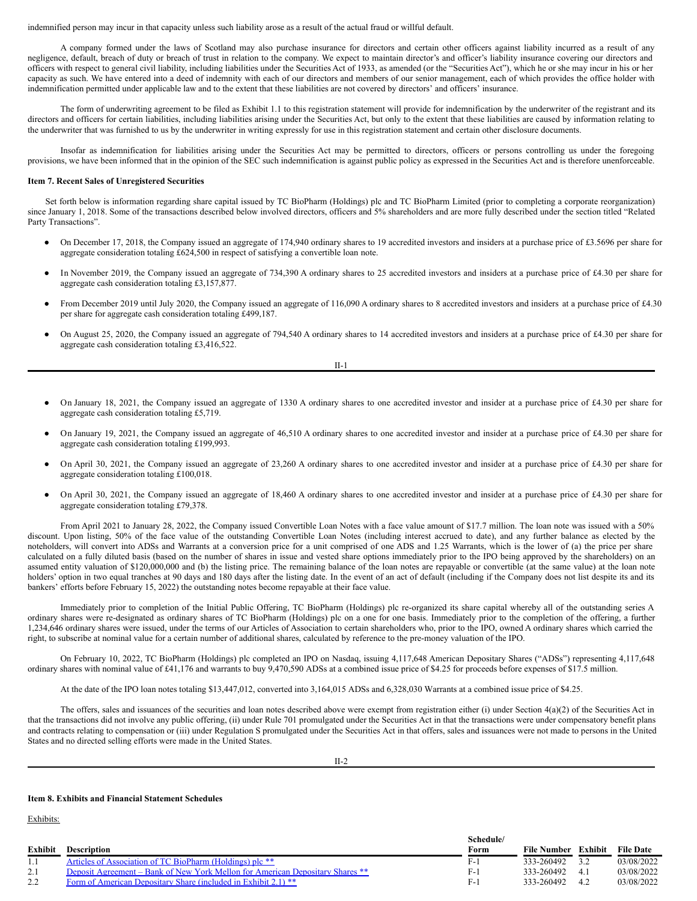indemnified person may incur in that capacity unless such liability arose as a result of the actual fraud or willful default.

A company formed under the laws of Scotland may also purchase insurance for directors and certain other officers against liability incurred as a result of any negligence, default, breach of duty or breach of trust in relation to the company. We expect to maintain director's and officer's liability insurance covering our directors and officers with respect to general civil liability, including liabilities under the Securities Act of 1933, as amended (or the "Securities Act"), which he or she may incur in his or her capacity as such. We have entered into a deed of indemnity with each of our directors and members of our senior management, each of which provides the office holder with indemnification permitted under applicable law and to the extent that these liabilities are not covered by directors' and officers' insurance.

The form of underwriting agreement to be filed as Exhibit 1.1 to this registration statement will provide for indemnification by the underwriter of the registrant and its directors and officers for certain liabilities, including liabilities arising under the Securities Act, but only to the extent that these liabilities are caused by information relating to the underwriter that was furnished to us by the underwriter in writing expressly for use in this registration statement and certain other disclosure documents.

Insofar as indemnification for liabilities arising under the Securities Act may be permitted to directors, officers or persons controlling us under the foregoing provisions, we have been informed that in the opinion of the SEC such indemnification is against public policy as expressed in the Securities Act and is therefore unenforceable.

#### **Item 7. Recent Sales of Unregistered Securities**

Set forth below is information regarding share capital issued by TC BioPharm (Holdings) plc and TC BioPharm Limited (prior to completing a corporate reorganization) since January 1, 2018. Some of the transactions described below involved directors, officers and 5% shareholders and are more fully described under the section titled "Related Party Transactions".

- On December 17, 2018, the Company issued an aggregate of 174,940 ordinary shares to 19 accredited investors and insiders at a purchase price of £3.5696 per share for aggregate consideration totaling £624,500 in respect of satisfying a convertible loan note.
- In November 2019, the Company issued an aggregate of 734,390 A ordinary shares to 25 accredited investors and insiders at a purchase price of £4.30 per share for aggregate cash consideration totaling £3,157,877.
- From December 2019 until July 2020, the Company issued an aggregate of 116,090 A ordinary shares to 8 accredited investors and insiders at a purchase price of £4.30 per share for aggregate cash consideration totaling £499,187.
- On August 25, 2020, the Company issued an aggregate of 794,540 A ordinary shares to 14 accredited investors and insiders at a purchase price of £4.30 per share for aggregate cash consideration totaling £3,416,522.

II-1

- On January 18, 2021, the Company issued an aggregate of 1330 A ordinary shares to one accredited investor and insider at a purchase price of £4.30 per share for aggregate cash consideration totaling £5,719.
- On January 19, 2021, the Company issued an aggregate of 46,510 A ordinary shares to one accredited investor and insider at a purchase price of £4.30 per share for aggregate cash consideration totaling £199,993.
- On April 30, 2021, the Company issued an aggregate of 23,260 A ordinary shares to one accredited investor and insider at a purchase price of £4.30 per share for aggregate consideration totaling £100,018.
- On April 30, 2021, the Company issued an aggregate of 18,460 A ordinary shares to one accredited investor and insider at a purchase price of £4.30 per share for aggregate consideration totaling £79,378.

From April 2021 to January 28, 2022, the Company issued Convertible Loan Notes with a face value amount of \$17.7 million. The loan note was issued with a 50% discount. Upon listing, 50% of the face value of the outstanding Convertible Loan Notes (including interest accrued to date), and any further balance as elected by the noteholders, will convert into ADSs and Warrants at a conversion price for a unit comprised of one ADS and 1.25 Warrants, which is the lower of (a) the price per share calculated on a fully diluted basis (based on the number of shares in issue and vested share options immediately prior to the IPO being approved by the shareholders) on an assumed entity valuation of \$120,000,000 and (b) the listing price. The remaining balance of the loan notes are repayable or convertible (at the same value) at the loan note holders' option in two equal tranches at 90 days and 180 days after the listing date. In the event of an act of default (including if the Company does not list despite its and its bankers' efforts before February 15, 2022) the outstanding notes become repayable at their face value.

Immediately prior to completion of the Initial Public Offering, TC BioPharm (Holdings) plc re-organized its share capital whereby all of the outstanding series A ordinary shares were re-designated as ordinary shares of TC BioPharm (Holdings) plc on a one for one basis. Immediately prior to the completion of the offering, a further 1,234,646 ordinary shares were issued, under the terms of our Articles of Association to certain shareholders who, prior to the IPO, owned A ordinary shares which carried the right, to subscribe at nominal value for a certain number of additional shares, calculated by reference to the pre-money valuation of the IPO.

On February 10, 2022, TC BioPharm (Holdings) plc completed an IPO on Nasdaq, issuing 4,117,648 American Depositary Shares ("ADSs") representing 4,117,648 ordinary shares with nominal value of £41,176 and warrants to buy 9,470,590 ADSs at a combined issue price of \$4.25 for proceeds before expenses of \$17.5 million.

At the date of the IPO loan notes totaling \$13,447,012, converted into 3,164,015 ADSs and 6,328,030 Warrants at a combined issue price of \$4.25.

The offers, sales and issuances of the securities and loan notes described above were exempt from registration either (i) under Section 4(a)(2) of the Securities Act in that the transactions did not involve any public offering, (ii) under Rule 701 promulgated under the Securities Act in that the transactions were under compensatory benefit plans and contracts relating to compensation or (iii) under Regulation S promulgated under the Securities Act in that offers, sales and issuances were not made to persons in the United States and no directed selling efforts were made in the United States.

II-2

# **Item 8. Exhibits and Financial Statement Schedules**

Exhibits:

|         |                                                                               | Schedule/ |             |         |                  |
|---------|-------------------------------------------------------------------------------|-----------|-------------|---------|------------------|
| Exhibit | <b>Description</b>                                                            | Form      | File Number | Exhibit | <b>File Date</b> |
| 1.1     | Articles of Association of TC BioPharm (Holdings) plc **                      | F-        | 333-260492  |         | 03/08/2022       |
| 2.1     | Deposit Agreement – Bank of New York Mellon for American Depositary Shares ** | F-.       | 333-260492  | 4.1     | 03/08/2022       |
|         | Form of American Depositary Share (included in Exhibit 2.1) **                | $F-$      | 333-260492  | 4.2     | 03/08/2022       |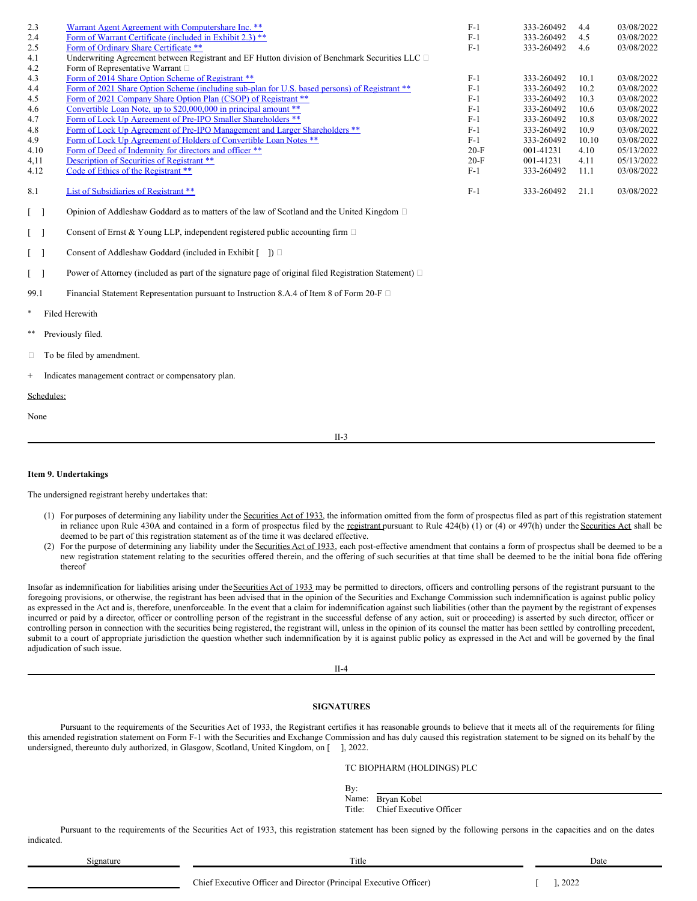| 2.3  | Warrant Agent Agreement with Computershare Inc. **                                             | $F-1$  | 333-260492 | 4.4   | 03/08/2022 |
|------|------------------------------------------------------------------------------------------------|--------|------------|-------|------------|
|      |                                                                                                |        |            |       |            |
| 2.4  | Form of Warrant Certificate (included in Exhibit 2.3) **                                       | $F-1$  | 333-260492 | 4.5   | 03/08/2022 |
| 2.5  | Form of Ordinary Share Certificate **                                                          | $F-1$  | 333-260492 | 4.6   | 03/08/2022 |
| 4.1  | Underwriting Agreement between Registrant and EF Hutton division of Benchmark Securities LLC □ |        |            |       |            |
| 4.2  | Form of Representative Warrant $\square$                                                       |        |            |       |            |
| 4.3  | Form of 2014 Share Option Scheme of Registrant **                                              | $F-1$  | 333-260492 | 10.1  | 03/08/2022 |
| 4.4  | Form of 2021 Share Option Scheme (including sub-plan for U.S. based persons) of Registrant **  | $F-1$  | 333-260492 | 10.2  | 03/08/2022 |
| 4.5  | Form of 2021 Company Share Option Plan (CSOP) of Registrant **                                 | $F-1$  | 333-260492 | 10.3  | 03/08/2022 |
| 4.6  | Convertible Loan Note, up to \$20,000,000 in principal amount **                               | $F-1$  | 333-260492 | 10.6  | 03/08/2022 |
| 4.7  | Form of Lock Up Agreement of Pre-IPO Smaller Shareholders **                                   | $F-1$  | 333-260492 | 10.8  | 03/08/2022 |
| 4.8  | Form of Lock Up Agreement of Pre-IPO Management and Larger Shareholders **                     | $F-1$  | 333-260492 | 10.9  | 03/08/2022 |
| 4.9  | Form of Lock Up Agreement of Holders of Convertible Loan Notes **                              | $F-1$  | 333-260492 | 10.10 | 03/08/2022 |
| 4.10 | Form of Deed of Indemnity for directors and officer **                                         | $20-F$ | 001-41231  | 4.10  | 05/13/2022 |
| 4,11 | Description of Securities of Registrant **                                                     | $20-F$ | 001-41231  | 4.11  | 05/13/2022 |
| 4.12 | Code of Ethics of the Registrant **                                                            | $F-1$  | 333-260492 | 11.1  | 03/08/2022 |
| 8.1  | List of Subsidiaries of Registrant **                                                          | $F-1$  | 333-260492 | 21.1  | 03/08/2022 |
|      | Opinion of Addleshaw Goddard as to matters of the law of Scotland and the United Kingdom □     |        |            |       |            |

[ ] Consent of Ernst & Young LLP, independent registered public accounting firm

|  |  |  | Consent of Addleshaw Goddard (included in Exhibit $\lceil \quad \rceil$ ) $\Box$ |  |
|--|--|--|----------------------------------------------------------------------------------|--|
|--|--|--|----------------------------------------------------------------------------------|--|

[ ] Power of Attorney (included as part of the signature page of original filed Registration Statement)

99.1 Financial Statement Representation pursuant to Instruction 8.A.4 of Item 8 of Form 20-F  $\Box$ 

- **Filed Herewith**
- Previously filed.
- □ To be filed by amendment.

Indicates management contract or compensatory plan.

## Schedules:

None

II-3

# **Item 9. Undertakings**

The undersigned registrant hereby undertakes that:

- (1) For purposes of determining any liability under the Securities Act of 1933, the information omitted from the form of prospectus filed as part of this registration statement in reliance upon Rule 430A and contained in a form of prospectus filed by the registrant pursuant to Rule 424(b) (1) or (4) or 497(h) under the Securities Act shall be deemed to be part of this registration statement as of the time it was declared effective.
- (2) For the purpose of determining any liability under the Securities Act of 1933, each post-effective amendment that contains a form of prospectus shall be deemed to be a new registration statement relating to the securities offered therein, and the offering of such securities at that time shall be deemed to be the initial bona fide offering thereof

Insofar as indemnification for liabilities arising under the Securities Act of 1933 may be permitted to directors, officers and controlling persons of the registrant pursuant to the foregoing provisions, or otherwise, the registrant has been advised that in the opinion of the Securities and Exchange Commission such indemnification is against public policy as expressed in the Act and is, therefore, unenforceable. In the event that a claim for indemnification against such liabilities (other than the payment by the registrant of expenses incurred or paid by a director, officer or controlling person of the registrant in the successful defense of any action, suit or proceeding) is asserted by such director, officer or controlling person in connection with the securities being registered, the registrant will, unless in the opinion of its counsel the matter has been settled by controlling precedent, submit to a court of appropriate jurisdiction the question whether such indemnification by it is against public policy as expressed in the Act and will be governed by the final adjudication of such issue.

II-4

# **SIGNATURES**

Pursuant to the requirements of the Securities Act of 1933, the Registrant certifies it has reasonable grounds to believe that it meets all of the requirements for filing this amended registration statement on Form F-1 with the Securities and Exchange Commission and has duly caused this registration statement to be signed on its behalf by the undersigned, thereunto duly authorized, in Glasgow, Scotland, United Kingdom, on [ ], 2022.

TC BIOPHARM (HOLDINGS) PLC

Name: Bryan Kobel

Title: Chief Executive Officer

Pursuant to the requirements of the Securities Act of 1933, this registration statement has been signed by the following persons in the capacities and on the dates indicated.

Signature Title Date